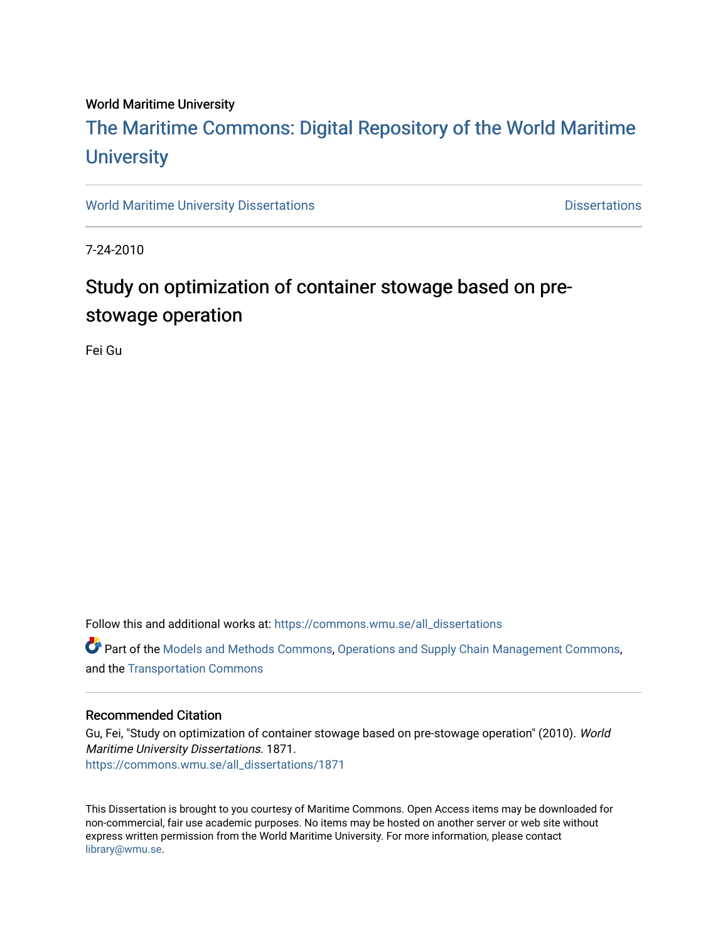# World Maritime University

# [The Maritime Commons: Digital Repository of the World Maritime](https://commons.wmu.se/)  **University**

[World Maritime University Dissertations](https://commons.wmu.se/all_dissertations) **Example 20 and Taracceretic Contracts** Dissertations

7-24-2010

# Study on optimization of container stowage based on prestowage operation

Fei Gu

Follow this and additional works at: [https://commons.wmu.se/all\\_dissertations](https://commons.wmu.se/all_dissertations?utm_source=commons.wmu.se%2Fall_dissertations%2F1871&utm_medium=PDF&utm_campaign=PDFCoverPages) 

**P** Part of the [Models and Methods Commons,](http://network.bepress.com/hgg/discipline/390?utm_source=commons.wmu.se%2Fall_dissertations%2F1871&utm_medium=PDF&utm_campaign=PDFCoverPages) [Operations and Supply Chain Management Commons,](http://network.bepress.com/hgg/discipline/1229?utm_source=commons.wmu.se%2Fall_dissertations%2F1871&utm_medium=PDF&utm_campaign=PDFCoverPages) and the [Transportation Commons](http://network.bepress.com/hgg/discipline/1068?utm_source=commons.wmu.se%2Fall_dissertations%2F1871&utm_medium=PDF&utm_campaign=PDFCoverPages) 

# Recommended Citation

Gu, Fei, "Study on optimization of container stowage based on pre-stowage operation" (2010). World Maritime University Dissertations. 1871. [https://commons.wmu.se/all\\_dissertations/1871](https://commons.wmu.se/all_dissertations/1871?utm_source=commons.wmu.se%2Fall_dissertations%2F1871&utm_medium=PDF&utm_campaign=PDFCoverPages)

This Dissertation is brought to you courtesy of Maritime Commons. Open Access items may be downloaded for non-commercial, fair use academic purposes. No items may be hosted on another server or web site without express written permission from the World Maritime University. For more information, please contact [library@wmu.se](mailto:library@wmu.edu).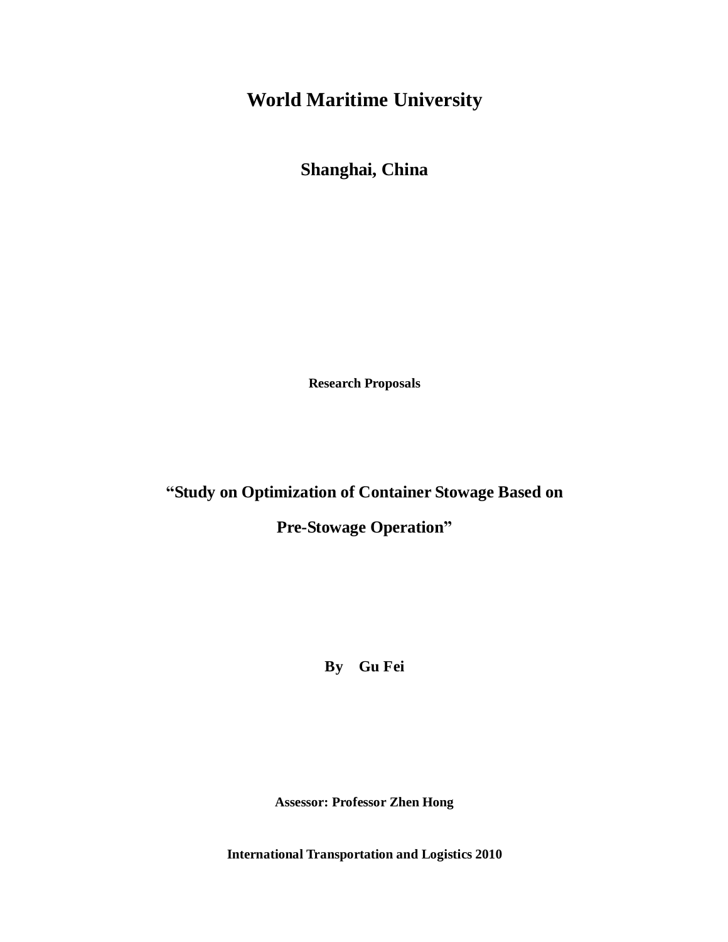# **World Maritime University**

**Shanghai, China** 

**Research Proposals** 

**"Study on Optimization of Container Stowage Based on** 

**Pre-Stowage Operation"**

**By Gu Fei** 

**Assessor: Professor Zhen Hong** 

**International Transportation and Logistics 2010**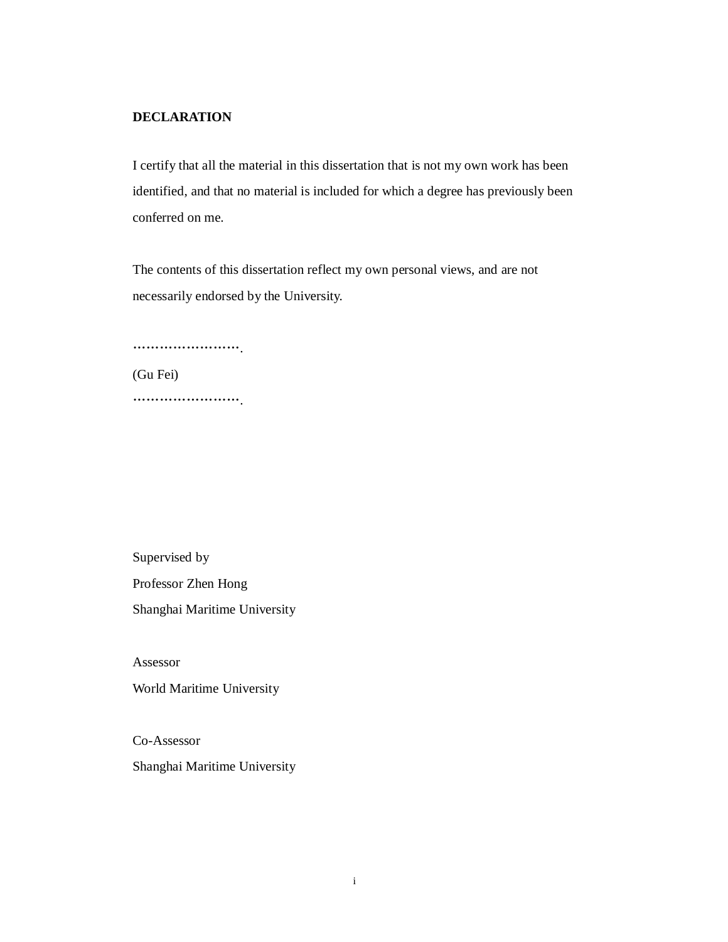# **DECLARATION**

I certify that all the material in this dissertation that is not my own work has been identified, and that no material is included for which a degree has previously been conferred on me.

The contents of this dissertation reflect my own personal views, and are not necessarily endorsed by the University.

……………………

(Gu Fei) ……………………

Supervised by

Professor Zhen Hong

Shanghai Maritime University

Assessor

World Maritime University

Co-Assessor Shanghai Maritime University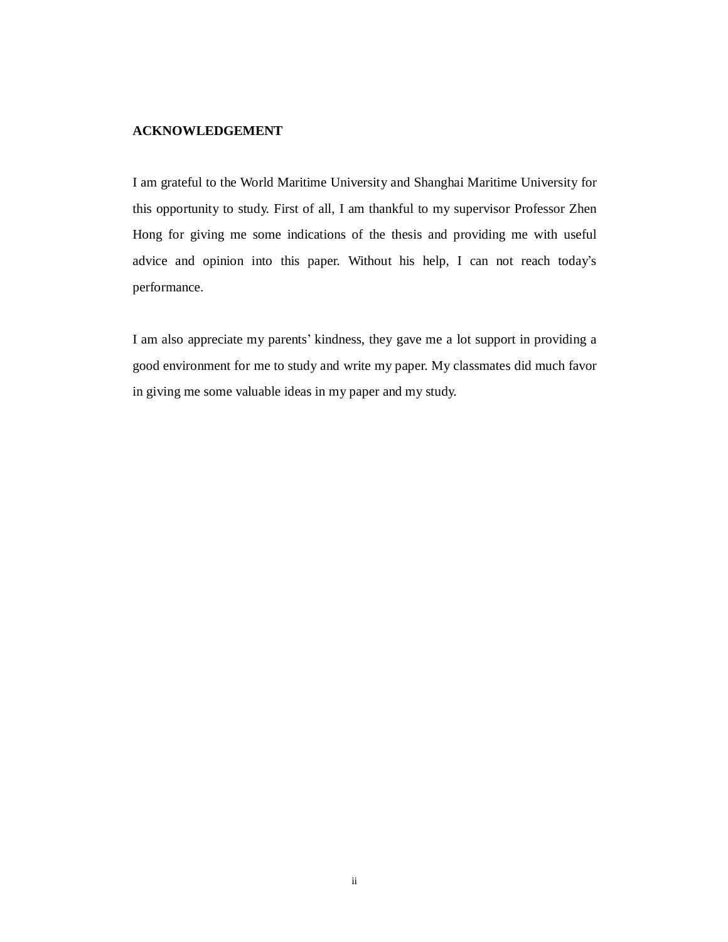# **ACKNOWLEDGEMENT**

I am grateful to the World Maritime University and Shanghai Maritime University for this opportunity to study. First of all, I am thankful to my supervisor Professor Zhen Hong for giving me some indications of the thesis and providing me with useful advice and opinion into this paper. Without his help, I can not reach today's performance.

I am also appreciate my parents' kindness, they gave me a lot support in providing a good environment for me to study and write my paper. My classmates did much favor in giving me some valuable ideas in my paper and my study.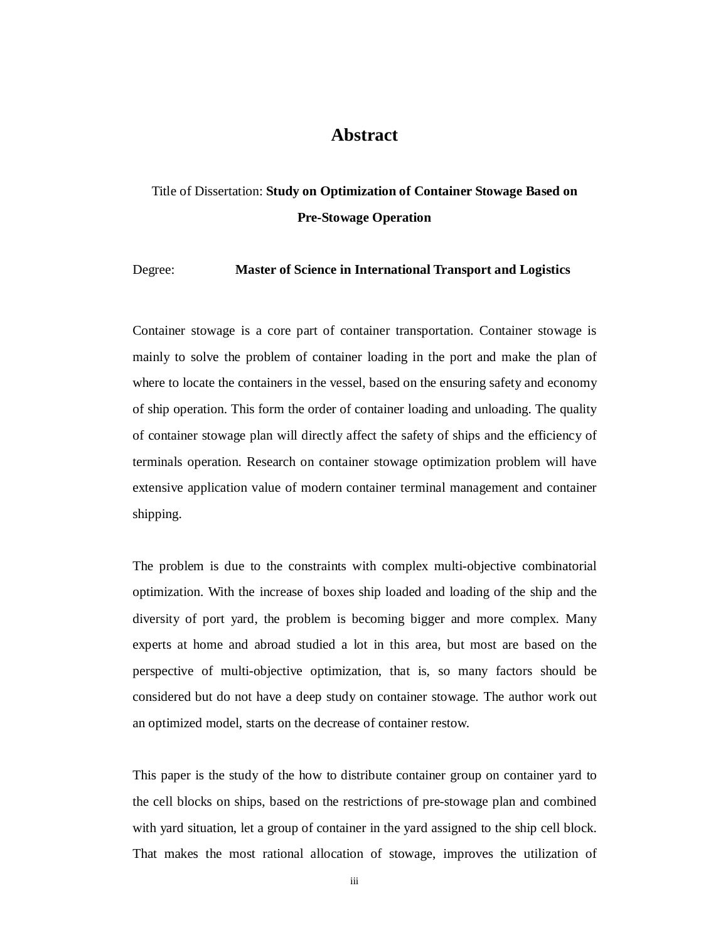# **Abstract**

# Title of Dissertation: **Study on Optimization of Container Stowage Based on Pre-Stowage Operation**

# Degree: **Master of Science in International Transport and Logistics**

Container stowage is a core part of container transportation. Container stowage is mainly to solve the problem of container loading in the port and make the plan of where to locate the containers in the vessel, based on the ensuring safety and economy of ship operation. This form the order of container loading and unloading. The quality of container stowage plan will directly affect the safety of ships and the efficiency of terminals operation. Research on container stowage optimization problem will have extensive application value of modern container terminal management and container shipping.

The problem is due to the constraints with complex multi-objective combinatorial optimization. With the increase of boxes ship loaded and loading of the ship and the diversity of port yard, the problem is becoming bigger and more complex. Many experts at home and abroad studied a lot in this area, but most are based on the perspective of multi-objective optimization, that is, so many factors should be considered but do not have a deep study on container stowage. The author work out an optimized model, starts on the decrease of container restow.

This paper is the study of the how to distribute container group on container yard to the cell blocks on ships, based on the restrictions of pre-stowage plan and combined with yard situation, let a group of container in the yard assigned to the ship cell block. That makes the most rational allocation of stowage, improves the utilization of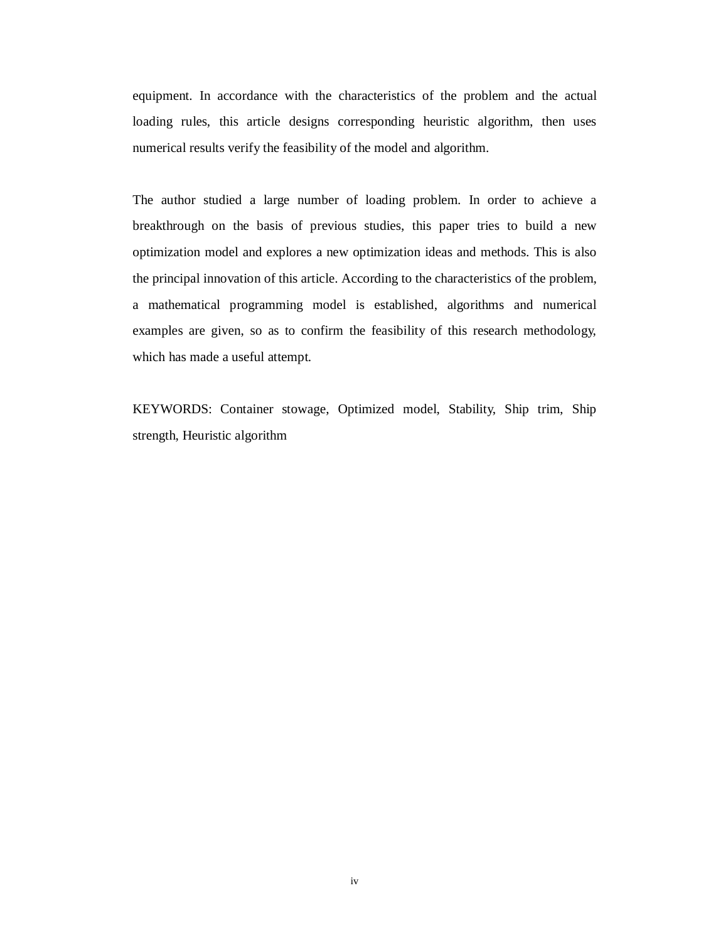equipment. In accordance with the characteristics of the problem and the actual loading rules, this article designs corresponding heuristic algorithm, then uses numerical results verify the feasibility of the model and algorithm.

The author studied a large number of loading problem. In order to achieve a breakthrough on the basis of previous studies, this paper tries to build a new optimization model and explores a new optimization ideas and methods. This is also the principal innovation of this article. According to the characteristics of the problem, a mathematical programming model is established, algorithms and numerical examples are given, so as to confirm the feasibility of this research methodology, which has made a useful attempt.

KEYWORDS: Container stowage, Optimized model, Stability, Ship trim, Ship strength, Heuristic algorithm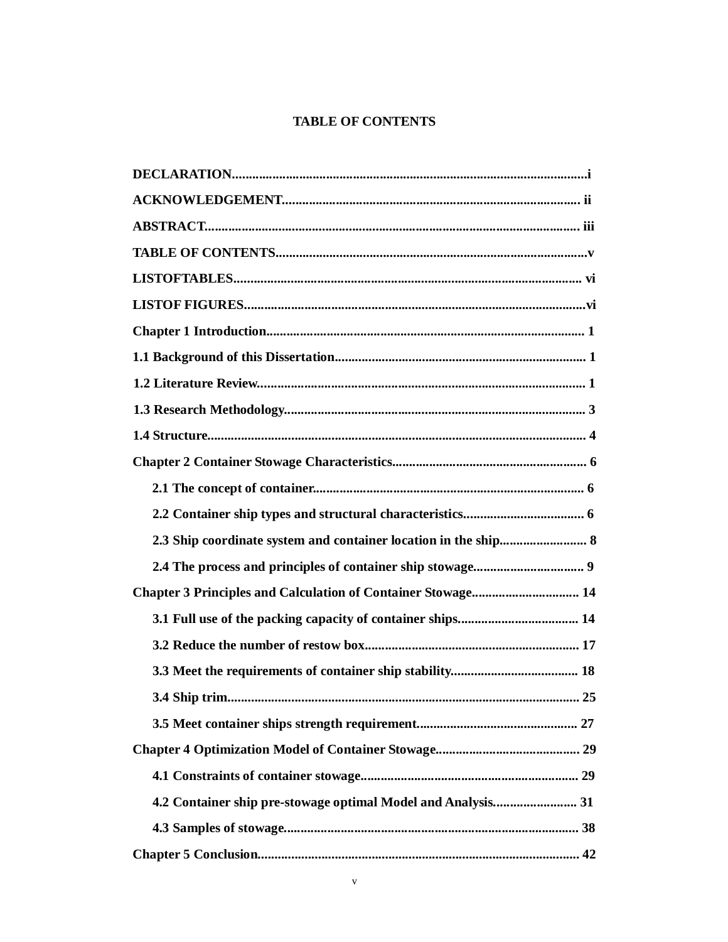# **TABLE OF CONTENTS**

| 2.3 Ship coordinate system and container location in the ship 8 |
|-----------------------------------------------------------------|
|                                                                 |
| Chapter 3 Principles and Calculation of Container Stowage 14    |
|                                                                 |
|                                                                 |
|                                                                 |
| 3.4 Ship trim<br>. 25                                           |
|                                                                 |
|                                                                 |
|                                                                 |
|                                                                 |
|                                                                 |
|                                                                 |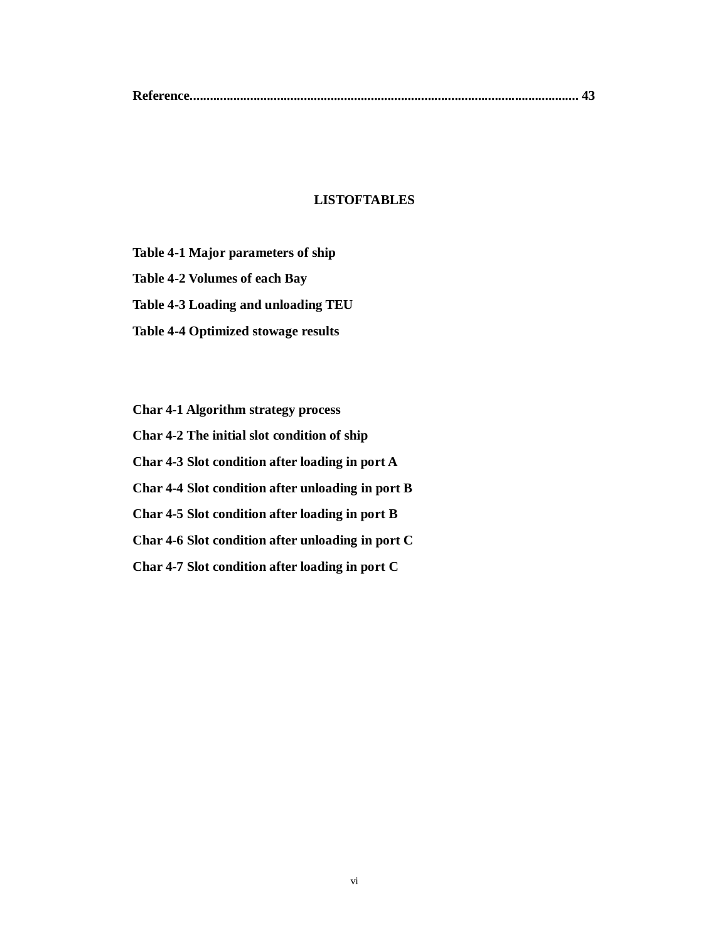|--|

# **LISTOFTABLES**

**Table 4-1 Major parameters of ship** 

**Table 4-2 Volumes of each Bay** 

**Table 4-3 Loading and unloading TEU** 

**Table 4-4 Optimized stowage results** 

**Char 4-1 Algorithm strategy process Char 4-2 The initial slot condition of ship Char 4-3 Slot condition after loading in port A Char 4-4 Slot condition after unloading in port B Char 4-5 Slot condition after loading in port B Char 4-6 Slot condition after unloading in port C Char 4-7 Slot condition after loading in port C**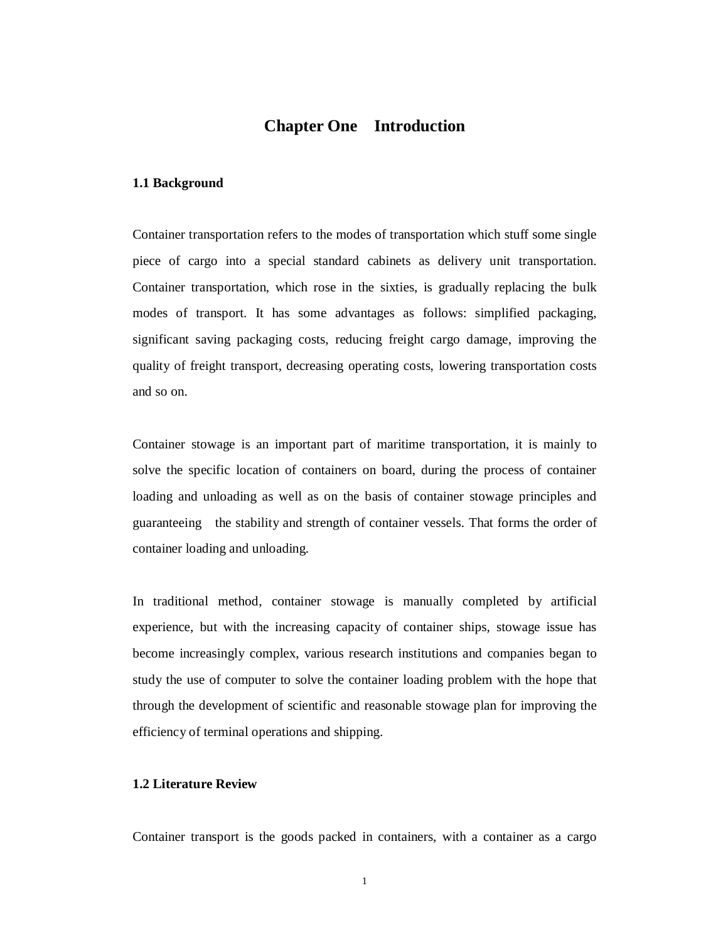# **Chapter One Introduction**

#### **1.1 Background**

Container transportation refers to the modes of transportation which stuff some single piece of cargo into a special standard cabinets as delivery unit transportation. Container transportation, which rose in the sixties, is gradually replacing the bulk modes of transport. It has some advantages as follows: simplified packaging, significant saving packaging costs, reducing freight cargo damage, improving the quality of freight transport, decreasing operating costs, lowering transportation costs and so on.

Container stowage is an important part of maritime transportation, it is mainly to solve the specific location of containers on board, during the process of container loading and unloading as well as on the basis of container stowage principles and guaranteeing the stability and strength of container vessels. That forms the order of container loading and unloading.

In traditional method, container stowage is manually completed by artificial experience, but with the increasing capacity of container ships, stowage issue has become increasingly complex, various research institutions and companies began to study the use of computer to solve the container loading problem with the hope that through the development of scientific and reasonable stowage plan for improving the efficiency of terminal operations and shipping.

## **1.2 Literature Review**

Container transport is the goods packed in containers, with a container as a cargo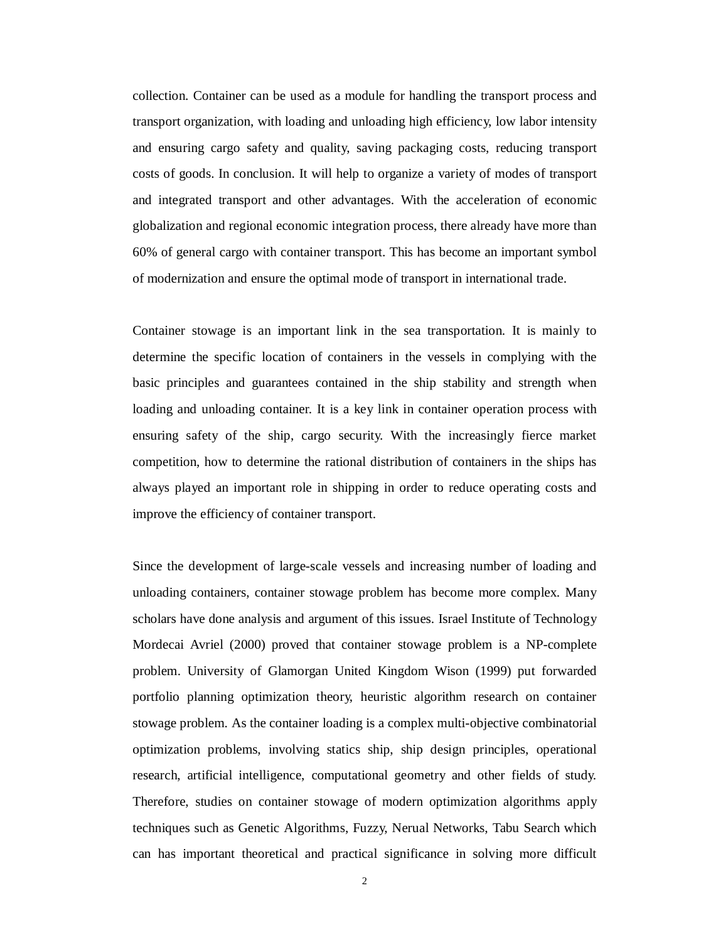collection. Container can be used as a module for handling the transport process and transport organization, with loading and unloading high efficiency, low labor intensity and ensuring cargo safety and quality, saving packaging costs, reducing transport costs of goods. In conclusion. It will help to organize a variety of modes of transport and integrated transport and other advantages. With the acceleration of economic globalization and regional economic integration process, there already have more than 60% of general cargo with container transport. This has become an important symbol of modernization and ensure the optimal mode of transport in international trade.

Container stowage is an important link in the sea transportation. It is mainly to determine the specific location of containers in the vessels in complying with the basic principles and guarantees contained in the ship stability and strength when loading and unloading container. It is a key link in container operation process with ensuring safety of the ship, cargo security. With the increasingly fierce market competition, how to determine the rational distribution of containers in the ships has always played an important role in shipping in order to reduce operating costs and improve the efficiency of container transport.

Since the development of large-scale vessels and increasing number of loading and unloading containers, container stowage problem has become more complex. Many scholars have done analysis and argument of this issues. Israel Institute of Technology Mordecai Avriel (2000) proved that container stowage problem is a NP-complete problem. University of Glamorgan United Kingdom Wison (1999) put forwarded portfolio planning optimization theory, heuristic algorithm research on container stowage problem. As the container loading is a complex multi-objective combinatorial optimization problems, involving statics ship, ship design principles, operational research, artificial intelligence, computational geometry and other fields of study. Therefore, studies on container stowage of modern optimization algorithms apply techniques such as Genetic Algorithms, Fuzzy, Nerual Networks, Tabu Search which can has important theoretical and practical significance in solving more difficult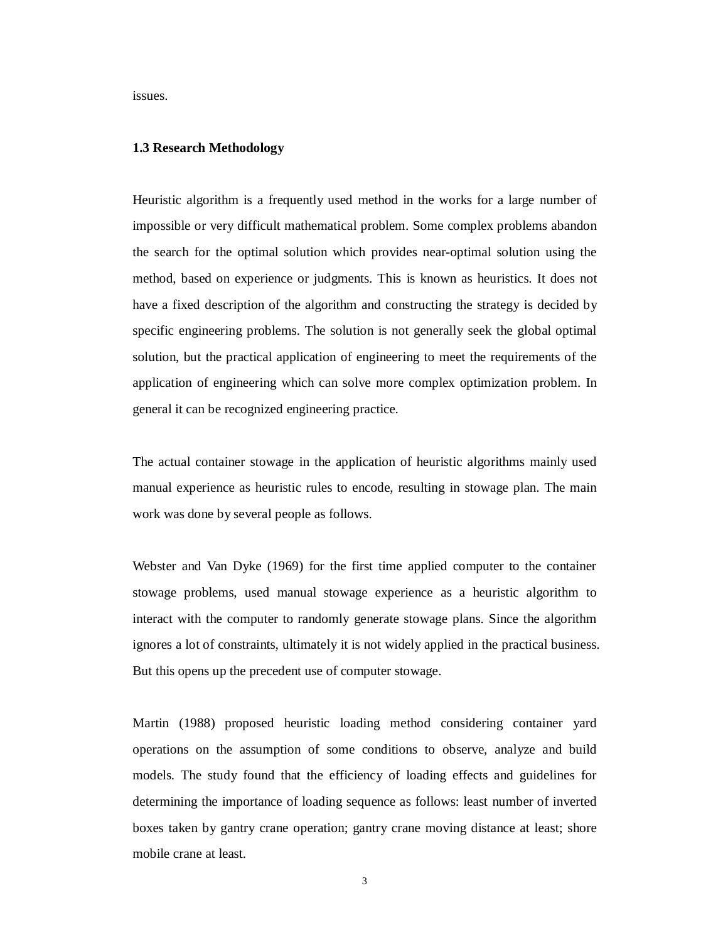issues.

#### **1.3 Research Methodology**

Heuristic algorithm is a frequently used method in the works for a large number of impossible or very difficult mathematical problem. Some complex problems abandon the search for the optimal solution which provides near-optimal solution using the method, based on experience or judgments. This is known as heuristics. It does not have a fixed description of the algorithm and constructing the strategy is decided by specific engineering problems. The solution is not generally seek the global optimal solution, but the practical application of engineering to meet the requirements of the application of engineering which can solve more complex optimization problem. In general it can be recognized engineering practice.

The actual container stowage in the application of heuristic algorithms mainly used manual experience as heuristic rules to encode, resulting in stowage plan. The main work was done by several people as follows.

Webster and Van Dyke (1969) for the first time applied computer to the container stowage problems, used manual stowage experience as a heuristic algorithm to interact with the computer to randomly generate stowage plans. Since the algorithm ignores a lot of constraints, ultimately it is not widely applied in the practical business. But this opens up the precedent use of computer stowage.

Martin (1988) proposed heuristic loading method considering container yard operations on the assumption of some conditions to observe, analyze and build models. The study found that the efficiency of loading effects and guidelines for determining the importance of loading sequence as follows: least number of inverted boxes taken by gantry crane operation; gantry crane moving distance at least; shore mobile crane at least.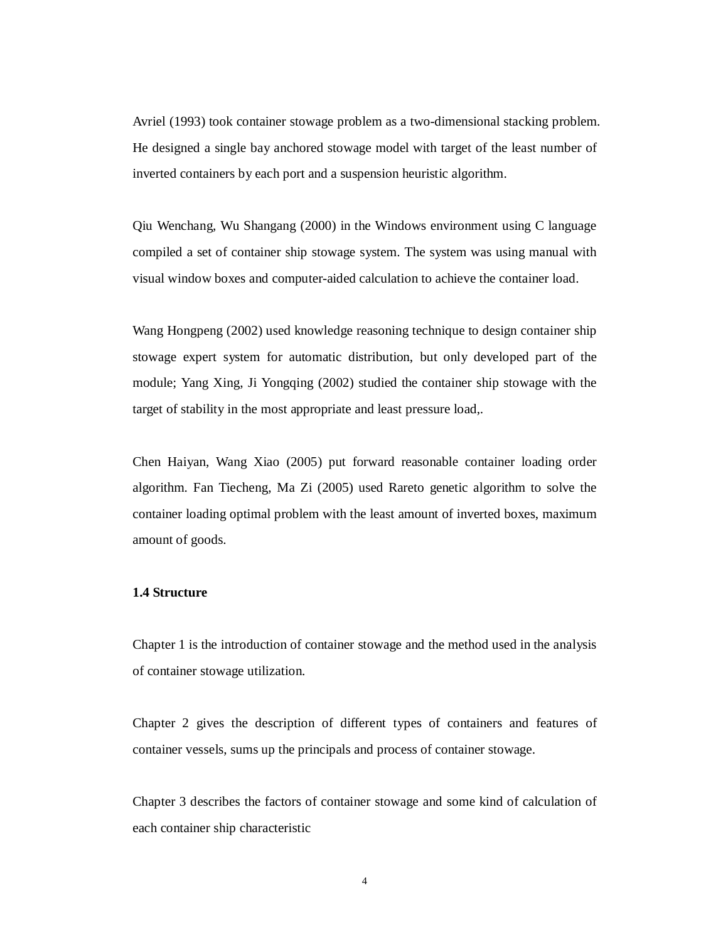Avriel (1993) took container stowage problem as a two-dimensional stacking problem. He designed a single bay anchored stowage model with target of the least number of inverted containers by each port and a suspension heuristic algorithm.

Qiu Wenchang, Wu Shangang (2000) in the Windows environment using C language compiled a set of container ship stowage system. The system was using manual with visual window boxes and computer-aided calculation to achieve the container load.

Wang Hongpeng (2002) used knowledge reasoning technique to design container ship stowage expert system for automatic distribution, but only developed part of the module; Yang Xing, Ji Yongqing (2002) studied the container ship stowage with the target of stability in the most appropriate and least pressure load,.

Chen Haiyan, Wang Xiao (2005) put forward reasonable container loading order algorithm. Fan Tiecheng, Ma Zi (2005) used Rareto genetic algorithm to solve the container loading optimal problem with the least amount of inverted boxes, maximum amount of goods.

# **1.4 Structure**

Chapter 1 is the introduction of container stowage and the method used in the analysis of container stowage utilization.

Chapter 2 gives the description of different types of containers and features of container vessels, sums up the principals and process of container stowage.

Chapter 3 describes the factors of container stowage and some kind of calculation of each container ship characteristic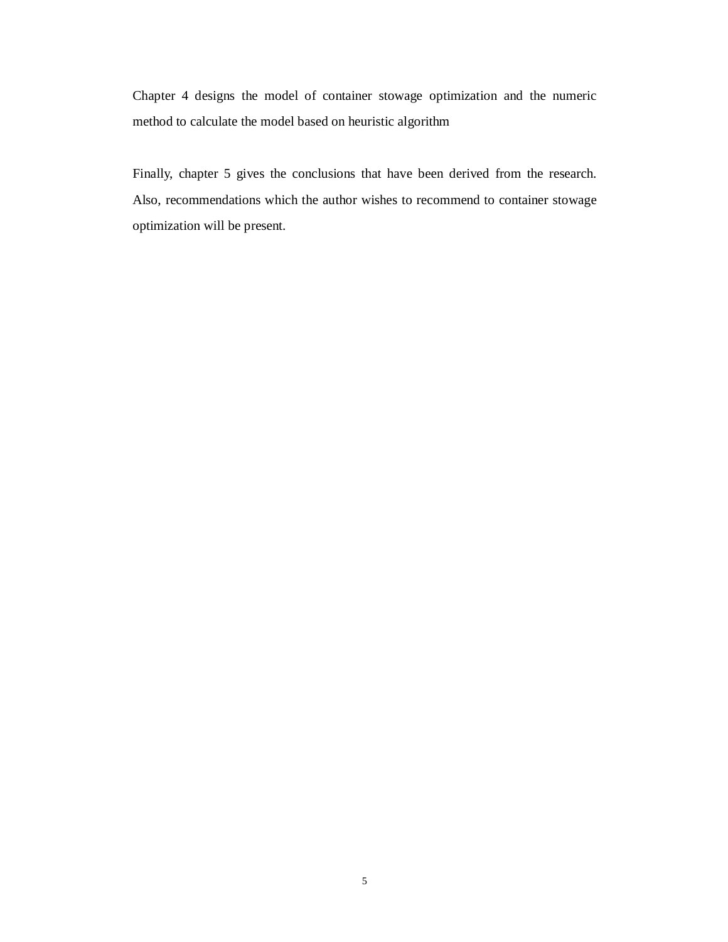Chapter 4 designs the model of container stowage optimization and the numeric method to calculate the model based on heuristic algorithm

Finally, chapter 5 gives the conclusions that have been derived from the research. Also, recommendations which the author wishes to recommend to container stowage optimization will be present.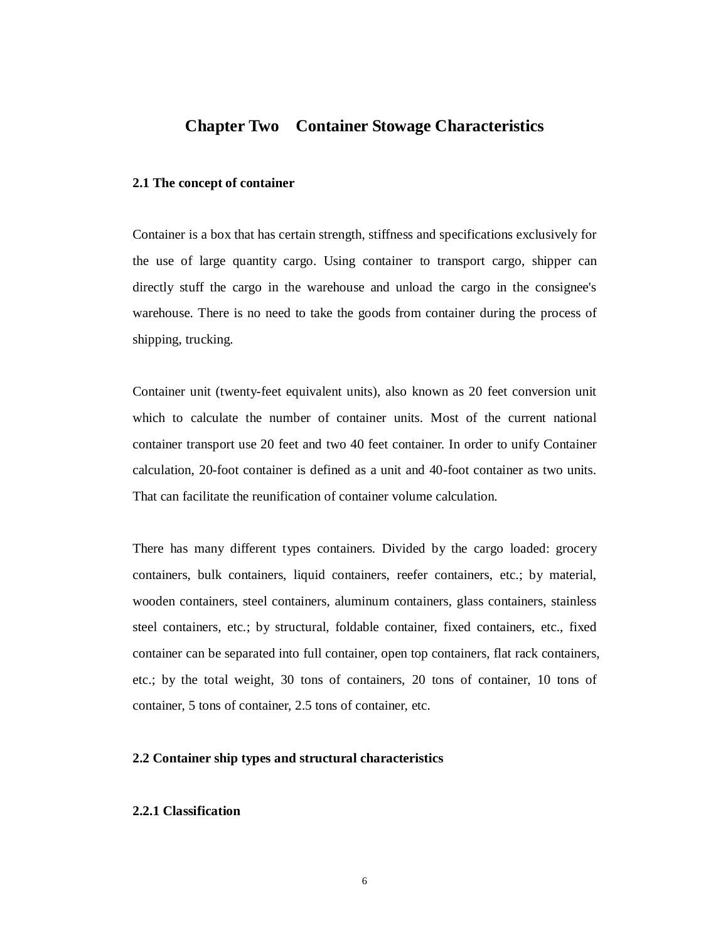# **Chapter Two Container Stowage Characteristics**

# **2.1 The concept of container**

Container is a box that has certain strength, stiffness and specifications exclusively for the use of large quantity cargo. Using container to transport cargo, shipper can directly stuff the cargo in the warehouse and unload the cargo in the consignee's warehouse. There is no need to take the goods from container during the process of shipping, trucking.

Container unit (twenty-feet equivalent units), also known as 20 feet conversion unit which to calculate the number of container units. Most of the current national container transport use 20 feet and two 40 feet container. In order to unify Container calculation, 20-foot container is defined as a unit and 40-foot container as two units. That can facilitate the reunification of container volume calculation.

There has many different types containers. Divided by the cargo loaded: grocery containers, bulk containers, liquid containers, reefer containers, etc.; by material, wooden containers, steel containers, aluminum containers, glass containers, stainless steel containers, etc.; by structural, foldable container, fixed containers, etc., fixed container can be separated into full container, open top containers, flat rack containers, etc.; by the total weight, 30 tons of containers, 20 tons of container, 10 tons of container, 5 tons of container, 2.5 tons of container, etc.

# **2.2 Container ship types and structural characteristics**

# **2.2.1 Classification**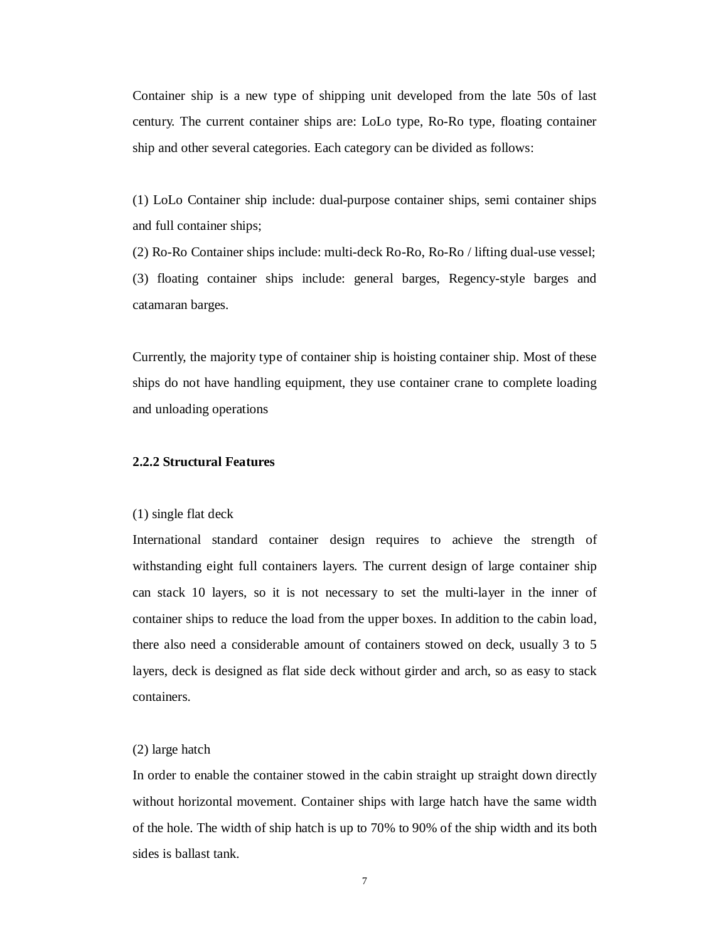Container ship is a new type of shipping unit developed from the late 50s of last century. The current container ships are: LoLo type, Ro-Ro type, floating container ship and other several categories. Each category can be divided as follows:

(1) LoLo Container ship include: dual-purpose container ships, semi container ships and full container ships;

(2) Ro-Ro Container ships include: multi-deck Ro-Ro, Ro-Ro / lifting dual-use vessel; (3) floating container ships include: general barges, Regency-style barges and catamaran barges.

Currently, the majority type of container ship is hoisting container ship. Most of these ships do not have handling equipment, they use container crane to complete loading and unloading operations

# **2.2.2 Structural Features**

#### (1) single flat deck

International standard container design requires to achieve the strength of withstanding eight full containers layers. The current design of large container ship can stack 10 layers, so it is not necessary to set the multi-layer in the inner of container ships to reduce the load from the upper boxes. In addition to the cabin load, there also need a considerable amount of containers stowed on deck, usually 3 to 5 layers, deck is designed as flat side deck without girder and arch, so as easy to stack containers.

#### (2) large hatch

In order to enable the container stowed in the cabin straight up straight down directly without horizontal movement. Container ships with large hatch have the same width of the hole. The width of ship hatch is up to 70% to 90% of the ship width and its both sides is ballast tank.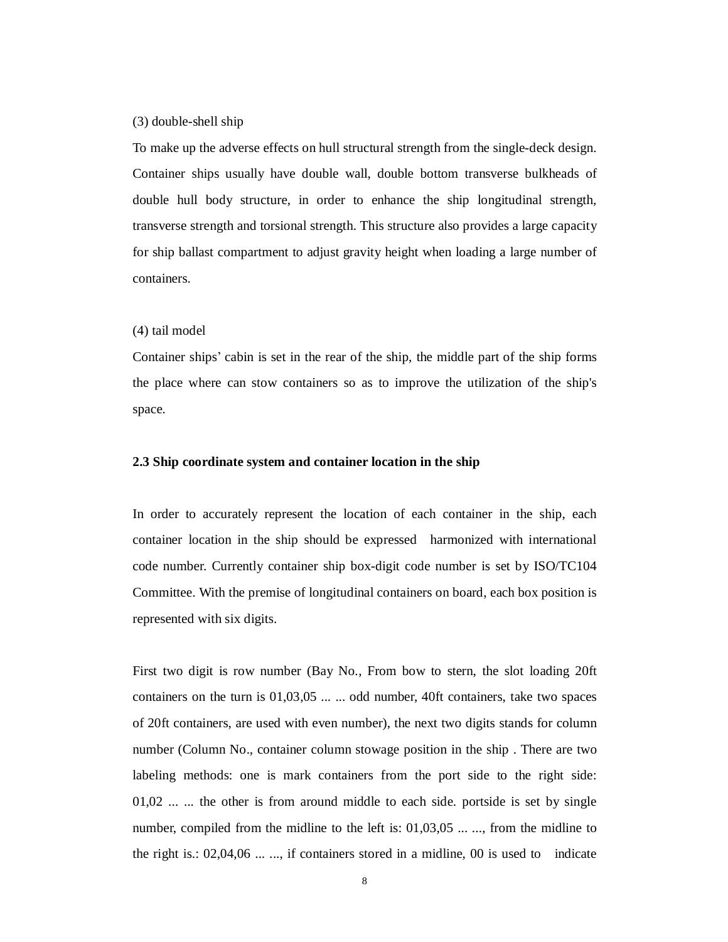#### (3) double-shell ship

To make up the adverse effects on hull structural strength from the single-deck design. Container ships usually have double wall, double bottom transverse bulkheads of double hull body structure, in order to enhance the ship longitudinal strength, transverse strength and torsional strength. This structure also provides a large capacity for ship ballast compartment to adjust gravity height when loading a large number of containers.

#### (4) tail model

Container ships' cabin is set in the rear of the ship, the middle part of the ship forms the place where can stow containers so as to improve the utilization of the ship's space.

#### **2.3 Ship coordinate system and container location in the ship**

In order to accurately represent the location of each container in the ship, each container location in the ship should be expressed harmonized with international code number. Currently container ship box-digit code number is set by ISO/TC104 Committee. With the premise of longitudinal containers on board, each box position is represented with six digits.

First two digit is row number (Bay No., From bow to stern, the slot loading 20ft containers on the turn is 01,03,05 ... ... odd number, 40ft containers, take two spaces of 20ft containers, are used with even number), the next two digits stands for column number (Column No., container column stowage position in the ship . There are two labeling methods: one is mark containers from the port side to the right side: 01,02 ... ... the other is from around middle to each side. portside is set by single number, compiled from the midline to the left is: 01,03,05 ... ..., from the midline to the right is.: 02,04,06 ... ..., if containers stored in a midline, 00 is used to indicate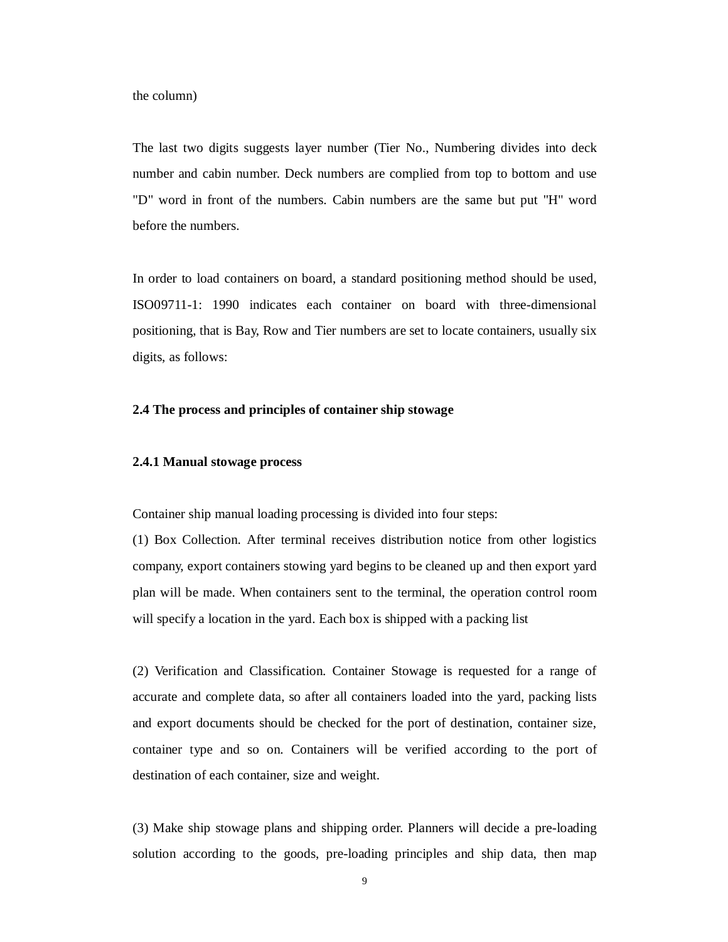the column)

The last two digits suggests layer number (Tier No., Numbering divides into deck number and cabin number. Deck numbers are complied from top to bottom and use "D" word in front of the numbers. Cabin numbers are the same but put "H" word before the numbers.

In order to load containers on board, a standard positioning method should be used, ISO09711-1: 1990 indicates each container on board with three-dimensional positioning, that is Bay, Row and Tier numbers are set to locate containers, usually six digits, as follows:

# **2.4 The process and principles of container ship stowage**

#### **2.4.1 Manual stowage process**

Container ship manual loading processing is divided into four steps:

(1) Box Collection. After terminal receives distribution notice from other logistics company, export containers stowing yard begins to be cleaned up and then export yard plan will be made. When containers sent to the terminal, the operation control room will specify a location in the yard. Each box is shipped with a packing list

(2) Verification and Classification. Container Stowage is requested for a range of accurate and complete data, so after all containers loaded into the yard, packing lists and export documents should be checked for the port of destination, container size, container type and so on. Containers will be verified according to the port of destination of each container, size and weight.

(3) Make ship stowage plans and shipping order. Planners will decide a pre-loading solution according to the goods, pre-loading principles and ship data, then map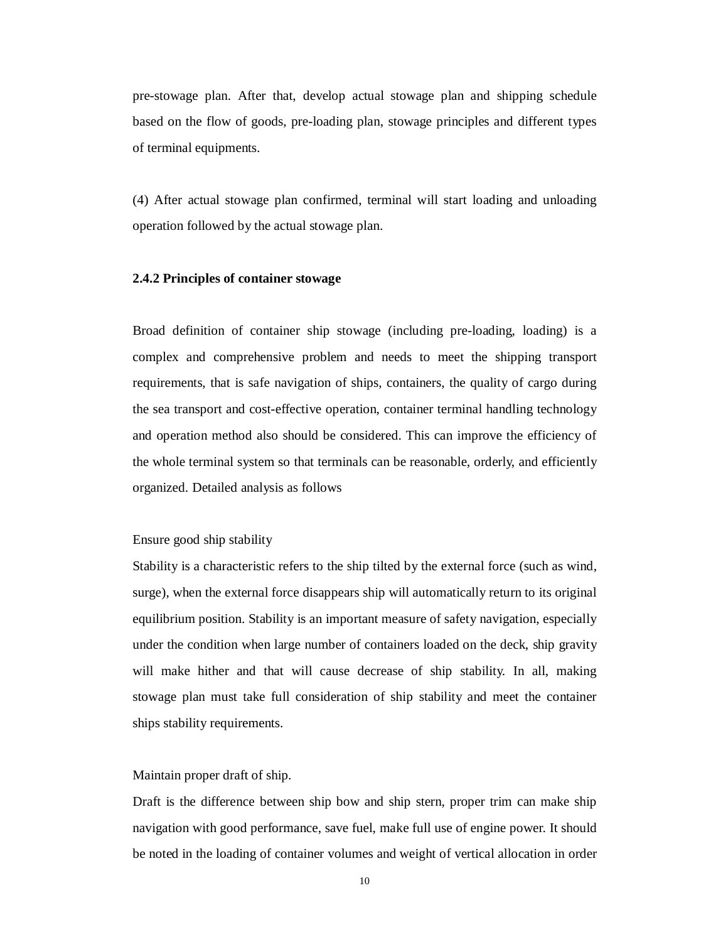pre-stowage plan. After that, develop actual stowage plan and shipping schedule based on the flow of goods, pre-loading plan, stowage principles and different types of terminal equipments.

(4) After actual stowage plan confirmed, terminal will start loading and unloading operation followed by the actual stowage plan.

#### **2.4.2 Principles of container stowage**

Broad definition of container ship stowage (including pre-loading, loading) is a complex and comprehensive problem and needs to meet the shipping transport requirements, that is safe navigation of ships, containers, the quality of cargo during the sea transport and cost-effective operation, container terminal handling technology and operation method also should be considered. This can improve the efficiency of the whole terminal system so that terminals can be reasonable, orderly, and efficiently organized. Detailed analysis as follows

#### Ensure good ship stability

Stability is a characteristic refers to the ship tilted by the external force (such as wind, surge), when the external force disappears ship will automatically return to its original equilibrium position. Stability is an important measure of safety navigation, especially under the condition when large number of containers loaded on the deck, ship gravity will make hither and that will cause decrease of ship stability. In all, making stowage plan must take full consideration of ship stability and meet the container ships stability requirements.

#### Maintain proper draft of ship.

Draft is the difference between ship bow and ship stern, proper trim can make ship navigation with good performance, save fuel, make full use of engine power. It should be noted in the loading of container volumes and weight of vertical allocation in order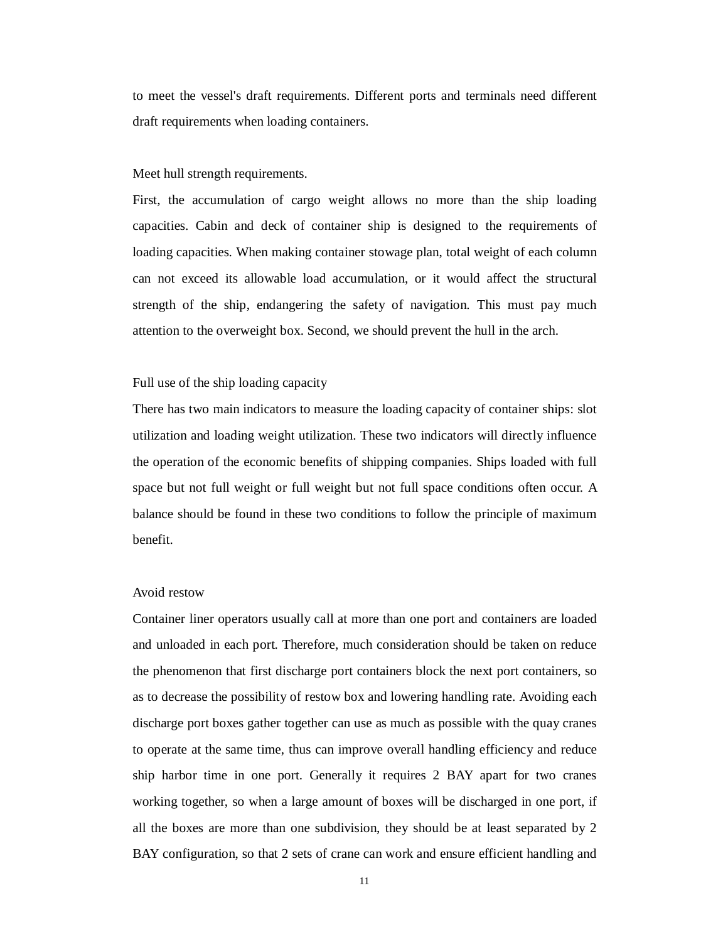to meet the vessel's draft requirements. Different ports and terminals need different draft requirements when loading containers.

#### Meet hull strength requirements.

First, the accumulation of cargo weight allows no more than the ship loading capacities. Cabin and deck of container ship is designed to the requirements of loading capacities. When making container stowage plan, total weight of each column can not exceed its allowable load accumulation, or it would affect the structural strength of the ship, endangering the safety of navigation. This must pay much attention to the overweight box. Second, we should prevent the hull in the arch.

#### Full use of the ship loading capacity

There has two main indicators to measure the loading capacity of container ships: slot utilization and loading weight utilization. These two indicators will directly influence the operation of the economic benefits of shipping companies. Ships loaded with full space but not full weight or full weight but not full space conditions often occur. A balance should be found in these two conditions to follow the principle of maximum benefit.

#### Avoid restow

Container liner operators usually call at more than one port and containers are loaded and unloaded in each port. Therefore, much consideration should be taken on reduce the phenomenon that first discharge port containers block the next port containers, so as to decrease the possibility of restow box and lowering handling rate. Avoiding each discharge port boxes gather together can use as much as possible with the quay cranes to operate at the same time, thus can improve overall handling efficiency and reduce ship harbor time in one port. Generally it requires 2 BAY apart for two cranes working together, so when a large amount of boxes will be discharged in one port, if all the boxes are more than one subdivision, they should be at least separated by 2 BAY configuration, so that 2 sets of crane can work and ensure efficient handling and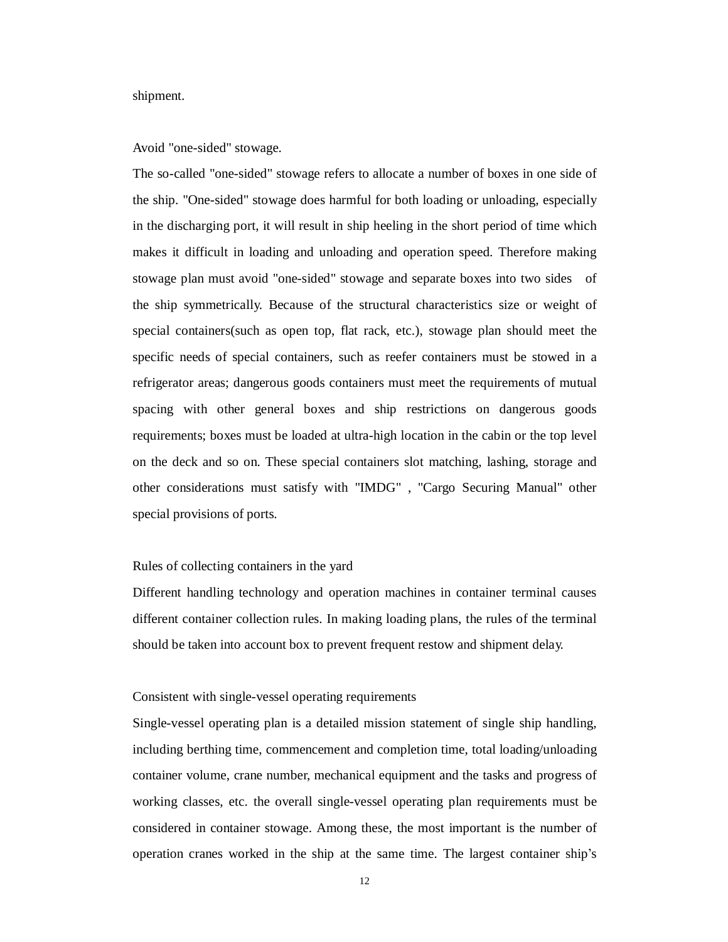#### shipment.

#### Avoid "one-sided" stowage.

The so-called "one-sided" stowage refers to allocate a number of boxes in one side of the ship. "One-sided" stowage does harmful for both loading or unloading, especially in the discharging port, it will result in ship heeling in the short period of time which makes it difficult in loading and unloading and operation speed. Therefore making stowage plan must avoid "one-sided" stowage and separate boxes into two sides of the ship symmetrically. Because of the structural characteristics size or weight of special containers(such as open top, flat rack, etc.), stowage plan should meet the specific needs of special containers, such as reefer containers must be stowed in a refrigerator areas; dangerous goods containers must meet the requirements of mutual spacing with other general boxes and ship restrictions on dangerous goods requirements; boxes must be loaded at ultra-high location in the cabin or the top level on the deck and so on. These special containers slot matching, lashing, storage and other considerations must satisfy with "IMDG" , "Cargo Securing Manual" other special provisions of ports.

#### Rules of collecting containers in the yard

Different handling technology and operation machines in container terminal causes different container collection rules. In making loading plans, the rules of the terminal should be taken into account box to prevent frequent restow and shipment delay.

#### Consistent with single-vessel operating requirements

Single-vessel operating plan is a detailed mission statement of single ship handling, including berthing time, commencement and completion time, total loading/unloading container volume, crane number, mechanical equipment and the tasks and progress of working classes, etc. the overall single-vessel operating plan requirements must be considered in container stowage. Among these, the most important is the number of operation cranes worked in the ship at the same time. The largest container ship's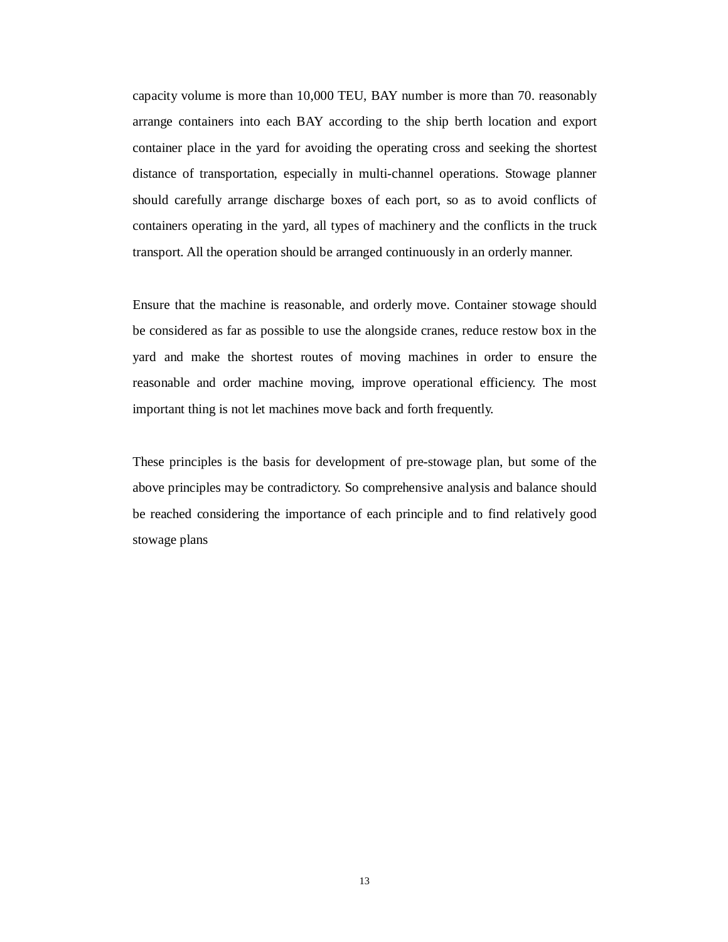capacity volume is more than 10,000 TEU, BAY number is more than 70. reasonably arrange containers into each BAY according to the ship berth location and export container place in the yard for avoiding the operating cross and seeking the shortest distance of transportation, especially in multi-channel operations. Stowage planner should carefully arrange discharge boxes of each port, so as to avoid conflicts of containers operating in the yard, all types of machinery and the conflicts in the truck transport. All the operation should be arranged continuously in an orderly manner.

Ensure that the machine is reasonable, and orderly move. Container stowage should be considered as far as possible to use the alongside cranes, reduce restow box in the yard and make the shortest routes of moving machines in order to ensure the reasonable and order machine moving, improve operational efficiency. The most important thing is not let machines move back and forth frequently.

These principles is the basis for development of pre-stowage plan, but some of the above principles may be contradictory. So comprehensive analysis and balance should be reached considering the importance of each principle and to find relatively good stowage plans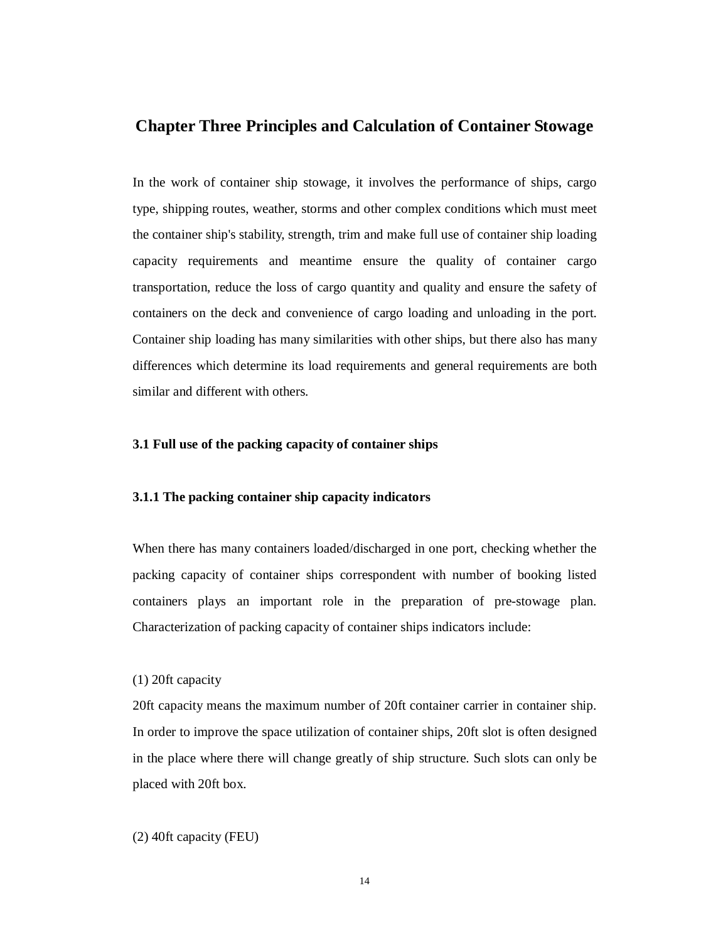# **Chapter Three Principles and Calculation of Container Stowage**

In the work of container ship stowage, it involves the performance of ships, cargo type, shipping routes, weather, storms and other complex conditions which must meet the container ship's stability, strength, trim and make full use of container ship loading capacity requirements and meantime ensure the quality of container cargo transportation, reduce the loss of cargo quantity and quality and ensure the safety of containers on the deck and convenience of cargo loading and unloading in the port. Container ship loading has many similarities with other ships, but there also has many differences which determine its load requirements and general requirements are both similar and different with others.

# **3.1 Full use of the packing capacity of container ships**

# **3.1.1 The packing container ship capacity indicators**

When there has many containers loaded/discharged in one port, checking whether the packing capacity of container ships correspondent with number of booking listed containers plays an important role in the preparation of pre-stowage plan. Characterization of packing capacity of container ships indicators include:

# (1) 20ft capacity

20ft capacity means the maximum number of 20ft container carrier in container ship. In order to improve the space utilization of container ships, 20ft slot is often designed in the place where there will change greatly of ship structure. Such slots can only be placed with 20ft box.

(2) 40ft capacity (FEU)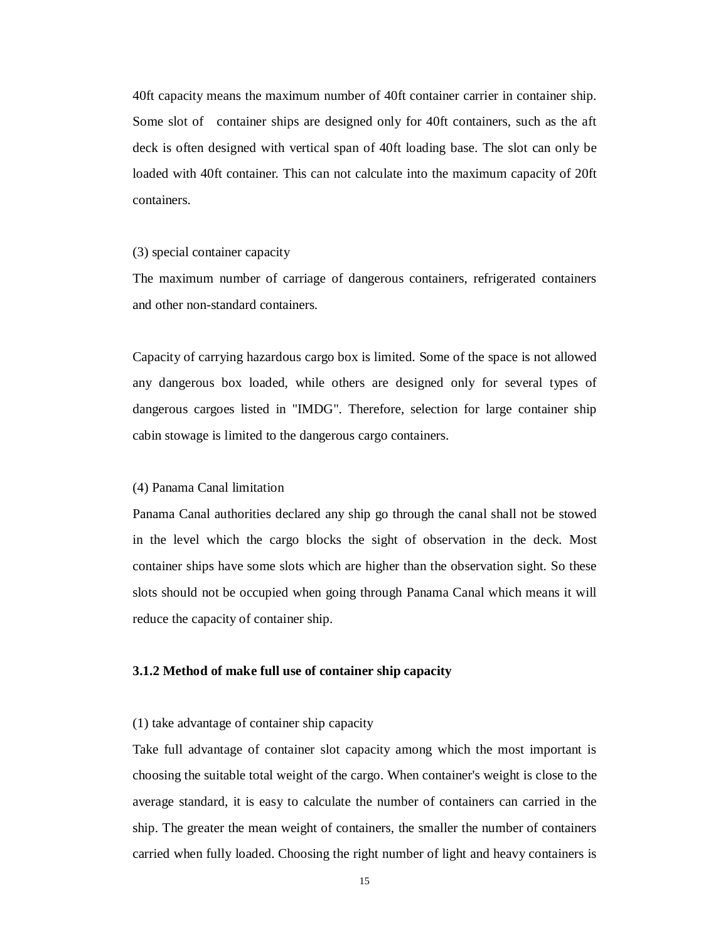40ft capacity means the maximum number of 40ft container carrier in container ship. Some slot of container ships are designed only for 40ft containers, such as the aft deck is often designed with vertical span of 40ft loading base. The slot can only be loaded with 40ft container. This can not calculate into the maximum capacity of 20ft containers.

#### (3) special container capacity

The maximum number of carriage of dangerous containers, refrigerated containers and other non-standard containers.

Capacity of carrying hazardous cargo box is limited. Some of the space is not allowed any dangerous box loaded, while others are designed only for several types of dangerous cargoes listed in "IMDG". Therefore, selection for large container ship cabin stowage is limited to the dangerous cargo containers.

## (4) Panama Canal limitation

Panama Canal authorities declared any ship go through the canal shall not be stowed in the level which the cargo blocks the sight of observation in the deck. Most container ships have some slots which are higher than the observation sight. So these slots should not be occupied when going through Panama Canal which means it will reduce the capacity of container ship.

#### **3.1.2 Method of make full use of container ship capacity**

#### (1) take advantage of container ship capacity

Take full advantage of container slot capacity among which the most important is choosing the suitable total weight of the cargo. When container's weight is close to the average standard, it is easy to calculate the number of containers can carried in the ship. The greater the mean weight of containers, the smaller the number of containers carried when fully loaded. Choosing the right number of light and heavy containers is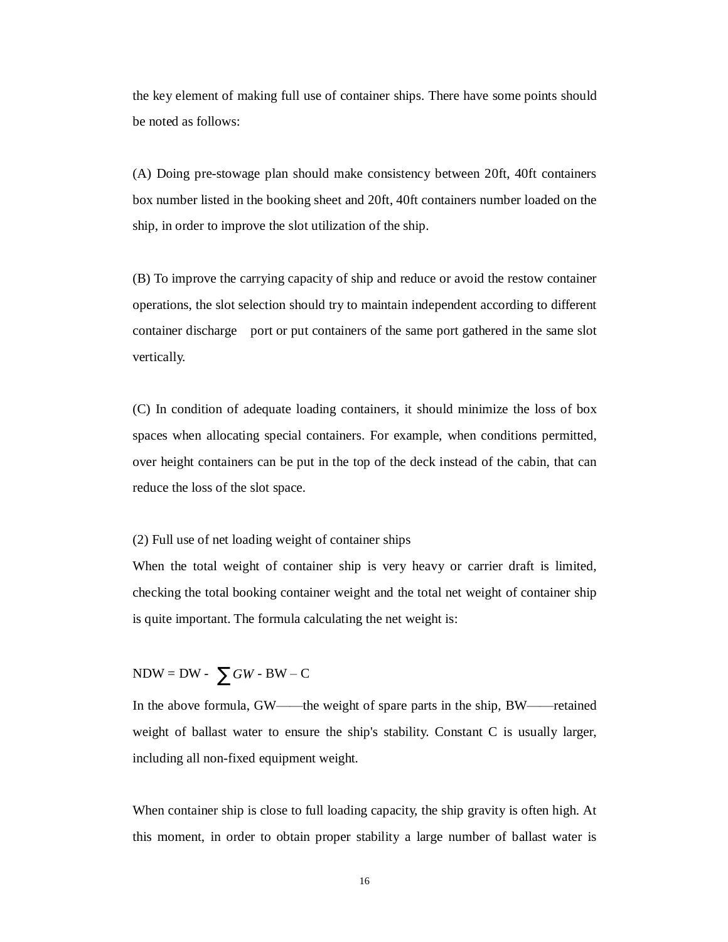the key element of making full use of container ships. There have some points should be noted as follows:

(A) Doing pre-stowage plan should make consistency between 20ft, 40ft containers box number listed in the booking sheet and 20ft, 40ft containers number loaded on the ship, in order to improve the slot utilization of the ship.

(B) To improve the carrying capacity of ship and reduce or avoid the restow container operations, the slot selection should try to maintain independent according to different container discharge port or put containers of the same port gathered in the same slot vertically.

(C) In condition of adequate loading containers, it should minimize the loss of box spaces when allocating special containers. For example, when conditions permitted, over height containers can be put in the top of the deck instead of the cabin, that can reduce the loss of the slot space.

#### (2) Full use of net loading weight of container ships

When the total weight of container ship is very heavy or carrier draft is limited, checking the total booking container weight and the total net weight of container ship is quite important. The formula calculating the net weight is:

 $NDW = DW - \sum GW - BW - C$ 

In the above formula, GW——the weight of spare parts in the ship, BW——retained weight of ballast water to ensure the ship's stability. Constant C is usually larger, including all non-fixed equipment weight.

When container ship is close to full loading capacity, the ship gravity is often high. At this moment, in order to obtain proper stability a large number of ballast water is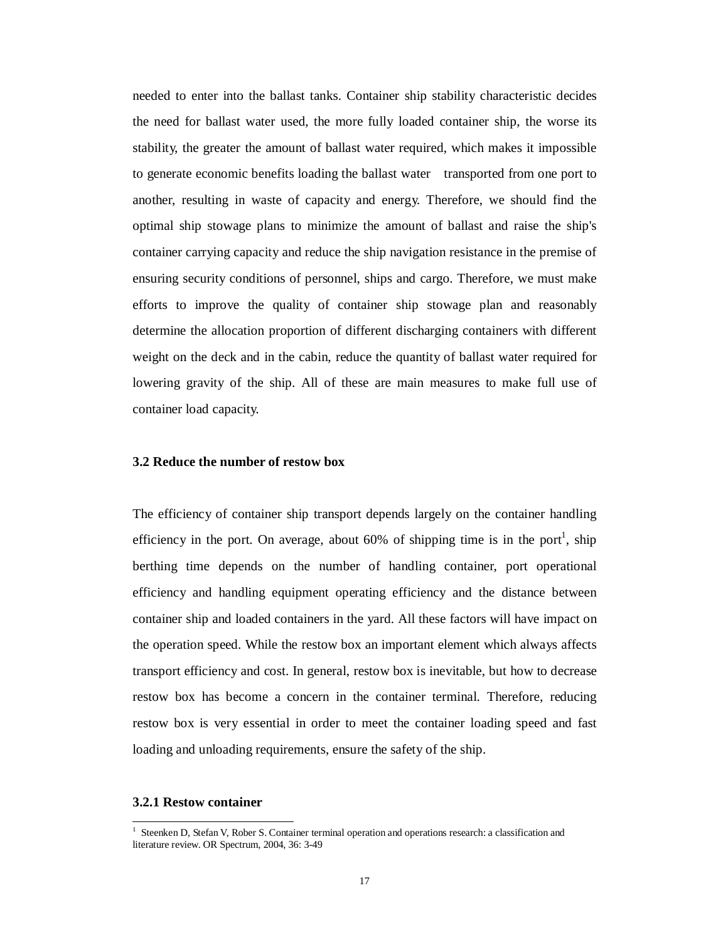needed to enter into the ballast tanks. Container ship stability characteristic decides the need for ballast water used, the more fully loaded container ship, the worse its stability, the greater the amount of ballast water required, which makes it impossible to generate economic benefits loading the ballast water transported from one port to another, resulting in waste of capacity and energy. Therefore, we should find the optimal ship stowage plans to minimize the amount of ballast and raise the ship's container carrying capacity and reduce the ship navigation resistance in the premise of ensuring security conditions of personnel, ships and cargo. Therefore, we must make efforts to improve the quality of container ship stowage plan and reasonably determine the allocation proportion of different discharging containers with different weight on the deck and in the cabin, reduce the quantity of ballast water required for lowering gravity of the ship. All of these are main measures to make full use of container load capacity.

### **3.2 Reduce the number of restow box**

The efficiency of container ship transport depends largely on the container handling efficiency in the port. On average, about 60% of shipping time is in the port<sup>1</sup>, ship berthing time depends on the number of handling container, port operational efficiency and handling equipment operating efficiency and the distance between container ship and loaded containers in the yard. All these factors will have impact on the operation speed. While the restow box an important element which always affects transport efficiency and cost. In general, restow box is inevitable, but how to decrease restow box has become a concern in the container terminal. Therefore, reducing restow box is very essential in order to meet the container loading speed and fast loading and unloading requirements, ensure the safety of the ship.

## **3.2.1 Restow container**

1

<sup>1</sup> Steenken D, Stefan V, Rober S. Container terminal operation and operations research: a classification and literature review. OR Spectrum, 2004, 36: 3-49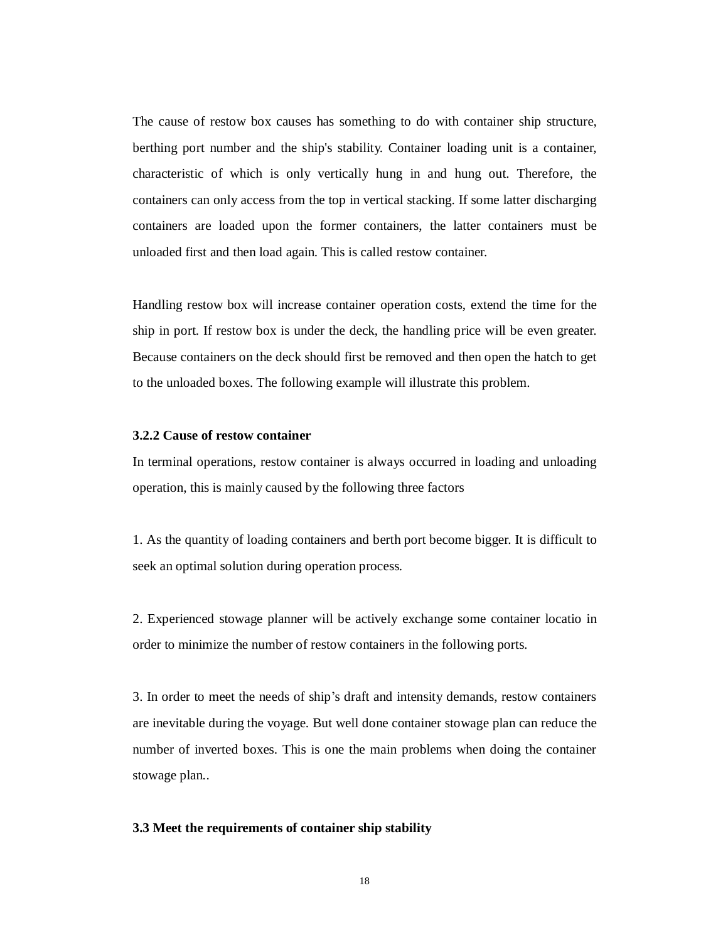The cause of restow box causes has something to do with container ship structure, berthing port number and the ship's stability. Container loading unit is a container, characteristic of which is only vertically hung in and hung out. Therefore, the containers can only access from the top in vertical stacking. If some latter discharging containers are loaded upon the former containers, the latter containers must be unloaded first and then load again. This is called restow container.

Handling restow box will increase container operation costs, extend the time for the ship in port. If restow box is under the deck, the handling price will be even greater. Because containers on the deck should first be removed and then open the hatch to get to the unloaded boxes. The following example will illustrate this problem.

## **3.2.2 Cause of restow container**

In terminal operations, restow container is always occurred in loading and unloading operation, this is mainly caused by the following three factors

1. As the quantity of loading containers and berth port become bigger. It is difficult to seek an optimal solution during operation process.

2. Experienced stowage planner will be actively exchange some container locatio in order to minimize the number of restow containers in the following ports.

3. In order to meet the needs of ship's draft and intensity demands, restow containers are inevitable during the voyage. But well done container stowage plan can reduce the number of inverted boxes. This is one the main problems when doing the container stowage plan..

#### **3.3 Meet the requirements of container ship stability**

18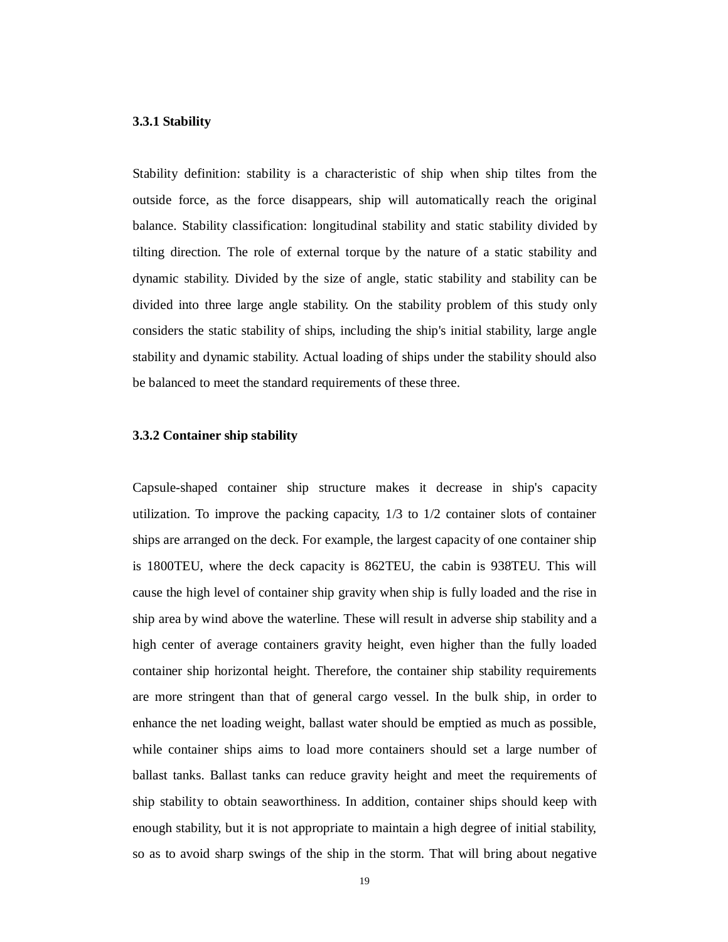#### **3.3.1 Stability**

Stability definition: stability is a characteristic of ship when ship tiltes from the outside force, as the force disappears, ship will automatically reach the original balance. Stability classification: longitudinal stability and static stability divided by tilting direction. The role of external torque by the nature of a static stability and dynamic stability. Divided by the size of angle, static stability and stability can be divided into three large angle stability. On the stability problem of this study only considers the static stability of ships, including the ship's initial stability, large angle stability and dynamic stability. Actual loading of ships under the stability should also be balanced to meet the standard requirements of these three.

#### **3.3.2 Container ship stability**

Capsule-shaped container ship structure makes it decrease in ship's capacity utilization. To improve the packing capacity, 1/3 to 1/2 container slots of container ships are arranged on the deck. For example, the largest capacity of one container ship is 1800TEU, where the deck capacity is 862TEU, the cabin is 938TEU. This will cause the high level of container ship gravity when ship is fully loaded and the rise in ship area by wind above the waterline. These will result in adverse ship stability and a high center of average containers gravity height, even higher than the fully loaded container ship horizontal height. Therefore, the container ship stability requirements are more stringent than that of general cargo vessel. In the bulk ship, in order to enhance the net loading weight, ballast water should be emptied as much as possible, while container ships aims to load more containers should set a large number of ballast tanks. Ballast tanks can reduce gravity height and meet the requirements of ship stability to obtain seaworthiness. In addition, container ships should keep with enough stability, but it is not appropriate to maintain a high degree of initial stability, so as to avoid sharp swings of the ship in the storm. That will bring about negative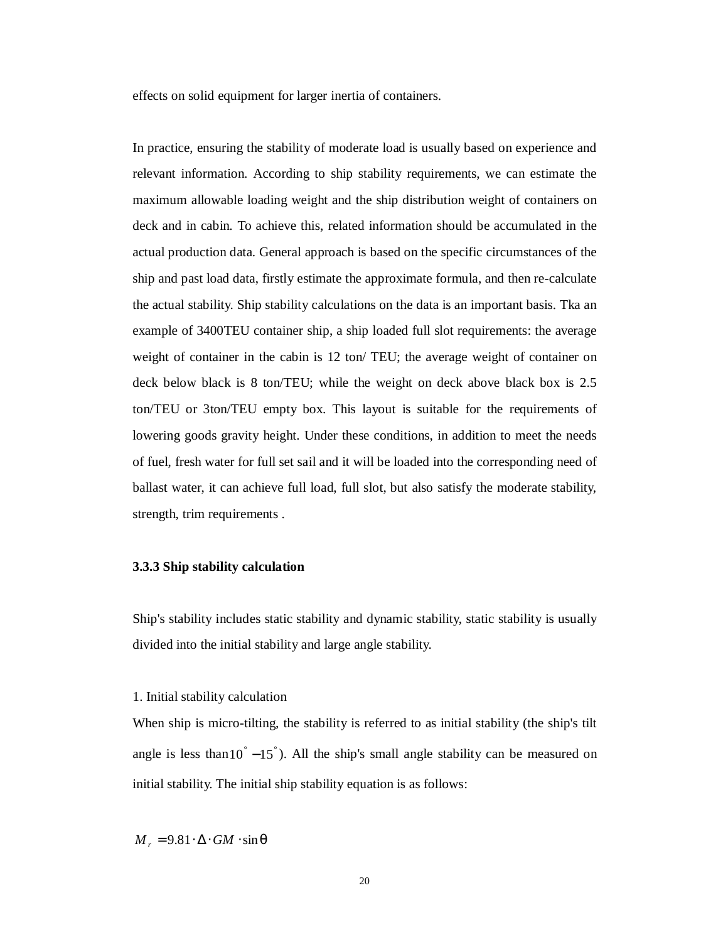effects on solid equipment for larger inertia of containers.

In practice, ensuring the stability of moderate load is usually based on experience and relevant information. According to ship stability requirements, we can estimate the maximum allowable loading weight and the ship distribution weight of containers on deck and in cabin. To achieve this, related information should be accumulated in the actual production data. General approach is based on the specific circumstances of the ship and past load data, firstly estimate the approximate formula, and then re-calculate the actual stability. Ship stability calculations on the data is an important basis. Tka an example of 3400TEU container ship, a ship loaded full slot requirements: the average weight of container in the cabin is 12 ton/ TEU; the average weight of container on deck below black is 8 ton/TEU; while the weight on deck above black box is 2.5 ton/TEU or 3ton/TEU empty box. This layout is suitable for the requirements of lowering goods gravity height. Under these conditions, in addition to meet the needs of fuel, fresh water for full set sail and it will be loaded into the corresponding need of ballast water, it can achieve full load, full slot, but also satisfy the moderate stability, strength, trim requirements .

## **3.3.3 Ship stability calculation**

Ship's stability includes static stability and dynamic stability, static stability is usually divided into the initial stability and large angle stability.

1. Initial stability calculation

When ship is micro-tilting, the stability is referred to as initial stability (the ship's tilt angle is less than  $10^\circ - 15^\circ$ ). All the ship's small angle stability can be measured on initial stability. The initial ship stability equation is as follows:

 $M_r = 9.81 \cdot \Delta \cdot GM \cdot \sin q$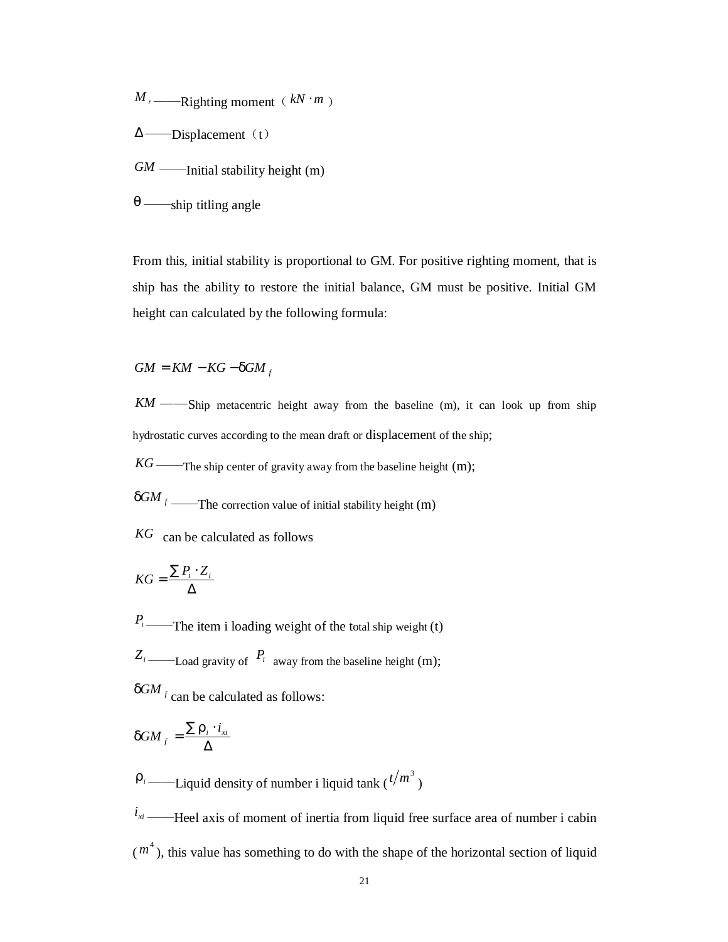$M_r$  ——Righting moment ( $kN \cdot m$ )

Δ——Displacement (t)

*GM* ——Initial stability height (m)

*q* ——ship titling angle

From this, initial stability is proportional to GM. For positive righting moment, that is ship has the ability to restore the initial balance, GM must be positive. Initial GM height can calculated by the following formula:

$$
GM = KM - KG - dGM
$$

*KM* ——Ship metacentric height away from the baseline (m), it can look up from ship hydrostatic curves according to the mean draft or displacement of the ship;

 $KG$ ——The ship center of gravity away from the baseline height  $(m)$ ;

 $dGM$  *f* ——The correction value of initial stability height (m)

*KG* can be calculated as follows

$$
KG = \frac{\sum P_i \cdot Z_i}{\Delta}
$$

 $P_i$ ——The item i loading weight of the total ship weight (t)

 $Z_i$  ——Load gravity of  $P_i$  away from the baseline height (m);

 $dGM$ <sub>*f*</sub> can be calculated as follows:

$$
dGM_{f} = \frac{\sum r_{i} \cdot i_{xi}}{\Delta}
$$

 $r_i$  ——Liquid density of number i liquid tank  $(t/m^3)$ 

 $i_{xi}$  ——Heel axis of moment of inertia from liquid free surface area of number i cabin  $(m<sup>4</sup>)$ , this value has something to do with the shape of the horizontal section of liquid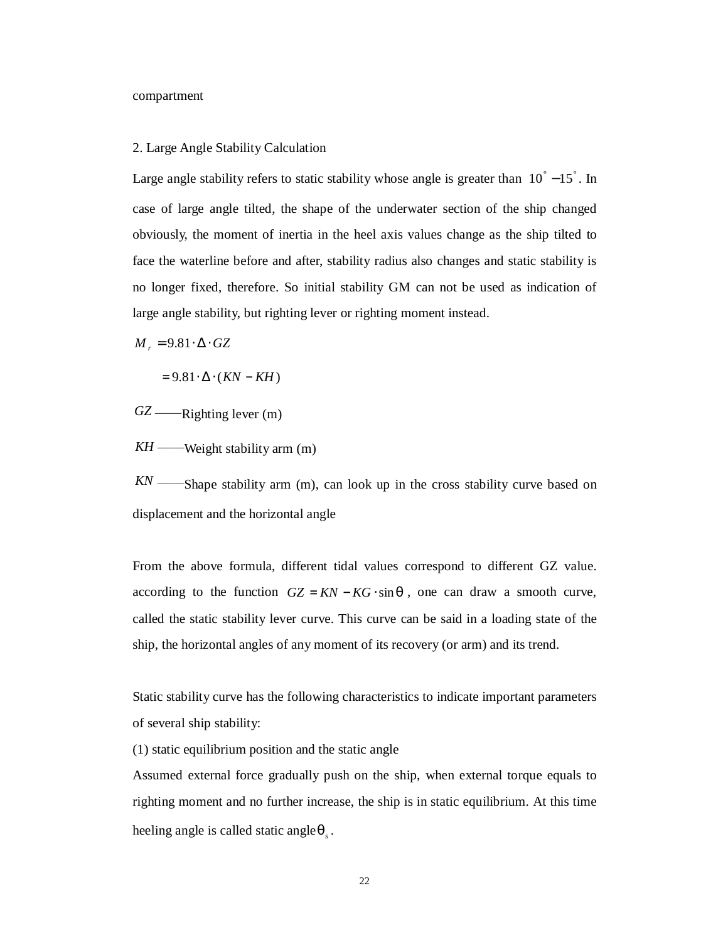#### compartment

#### 2. Large Angle Stability Calculation

Large angle stability refers to static stability whose angle is greater than  $10\degree$  –  $15\degree$ . In case of large angle tilted, the shape of the underwater section of the ship changed obviously, the moment of inertia in the heel axis values change as the ship tilted to face the waterline before and after, stability radius also changes and static stability is no longer fixed, therefore. So initial stability GM can not be used as indication of large angle stability, but righting lever or righting moment instead.

 $M_r = 9.81 \cdot \Delta \cdot GZ$ 

 $= 9.81 \cdot \Delta \cdot (KN - KH)$ 

*GZ* ——Righting lever (m)

*KH* ——Weight stability arm (m)

*KN* ——Shape stability arm (m), can look up in the cross stability curve based on displacement and the horizontal angle

From the above formula, different tidal values correspond to different GZ value. according to the function  $GZ = KN - KG \cdot \sin q$ , one can draw a smooth curve, called the static stability lever curve. This curve can be said in a loading state of the ship, the horizontal angles of any moment of its recovery (or arm) and its trend.

Static stability curve has the following characteristics to indicate important parameters of several ship stability:

(1) static equilibrium position and the static angle

Assumed external force gradually push on the ship, when external torque equals to righting moment and no further increase, the ship is in static equilibrium. At this time heeling angle is called static angle*q<sup>s</sup>* .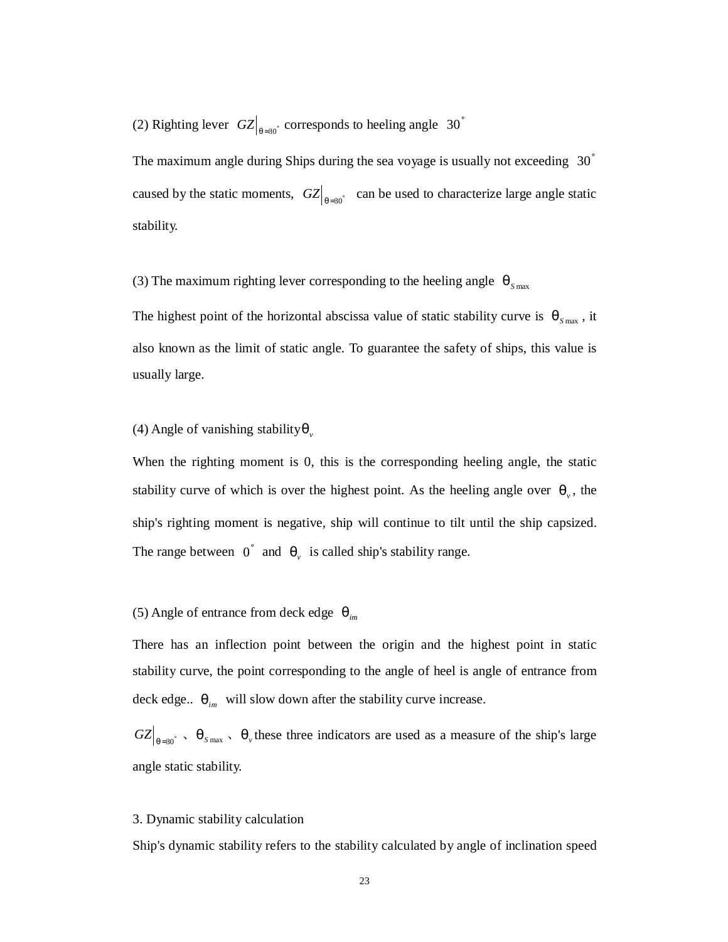(2) Righting lever  $|GZ|_{q=30^\circ}$  corresponds to heeling angle  $|30^\circ|$ 

The maximum angle during Ships during the sea voyage is usually not exceeding  $30^{\circ}$ caused by the static moments,  $GZ|_{q=30}$  can be used to characterize large angle static stability.

(3) The maximum righting lever corresponding to the heeling angle  $q_{\text{Smax}}$ 

The highest point of the horizontal abscissa value of static stability curve is  $q_{\text{S max}}$ , it also known as the limit of static angle. To guarantee the safety of ships, this value is usually large.

# (4) Angle of vanishing stability  $q<sub>v</sub>$

When the righting moment is 0, this is the corresponding heeling angle, the static stability curve of which is over the highest point. As the heeling angle over  $q<sub>v</sub>$ , the ship's righting moment is negative, ship will continue to tilt until the ship capsized. The range between  $0^{\circ}$  and  $q_v$  is called ship's stability range.

# (5) Angle of entrance from deck edge *qim*

There has an inflection point between the origin and the highest point in static stability curve, the point corresponding to the angle of heel is angle of entrance from deck edge..  $q_{im}$  will slow down after the stability curve increase.

 $GZ|_{q=30^\circ}$ ,  $q_{s\,\text{max}}$ ,  $q_v$  these three indicators are used as a measure of the ship's large angle static stability.

#### 3. Dynamic stability calculation

Ship's dynamic stability refers to the stability calculated by angle of inclination speed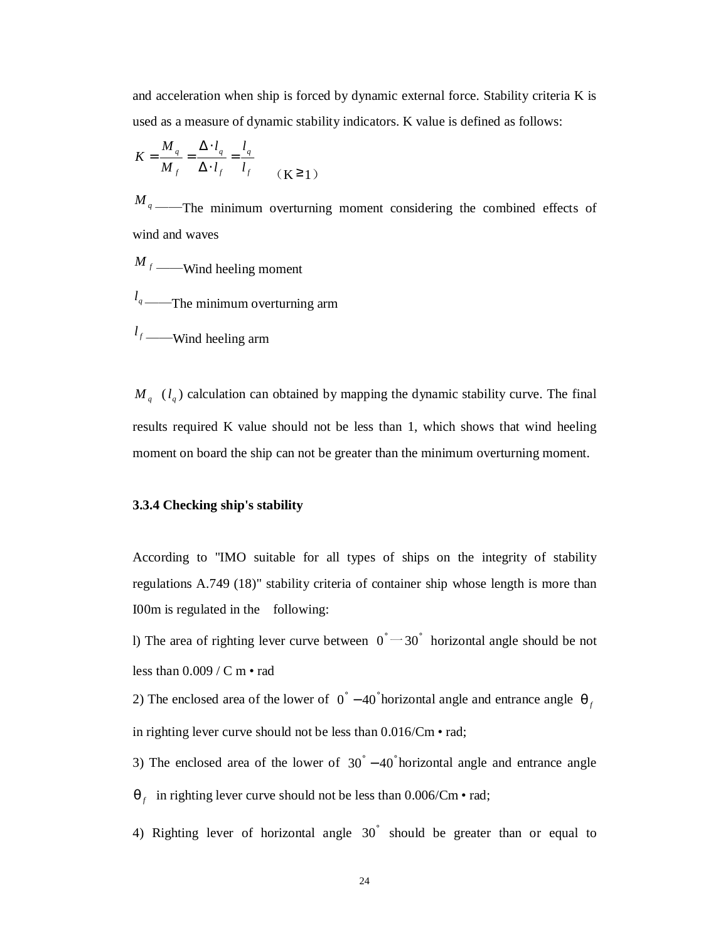and acceleration when ship is forced by dynamic external force. Stability criteria K is used as a measure of dynamic stability indicators. K value is defined as follows:

$$
K = \frac{M_q}{M_f} = \frac{\Delta \cdot l_q}{\Delta \cdot l_f} = \frac{l_q}{l_f} \qquad (K \ge 1)
$$

*<sup>M</sup> <sup>q</sup>* ——The minimum overturning moment considering the combined effects of wind and waves

 $M_f$  ——Wind heeling moment *q <sup>l</sup>* ——The minimum overturning arm

 $l_f$  ——Wind heeling arm

 $M_q$  ( $l_q$ ) calculation can obtained by mapping the dynamic stability curve. The final results required K value should not be less than 1, which shows that wind heeling moment on board the ship can not be greater than the minimum overturning moment.

# **3.3.4 Checking ship's stability**

According to "IMO suitable for all types of ships on the integrity of stability regulations A.749 (18)" stability criteria of container ship whose length is more than I00m is regulated in the following:

l) The area of righting lever curve between  $0° - 30°$  horizontal angle should be not less than 0.009 / C m • rad

2) The enclosed area of the lower of  $0° - 40°$  horizontal angle and entrance angle  $q_f$ in righting lever curve should not be less than 0.016/Cm • rad;

3) The enclosed area of the lower of  $30^\circ - 40^\circ$  horizontal angle and entrance angle  $q_f$  in righting lever curve should not be less than 0.006/Cm • rad;

4) Righting lever of horizontal angle  $30^{\circ}$  should be greater than or equal to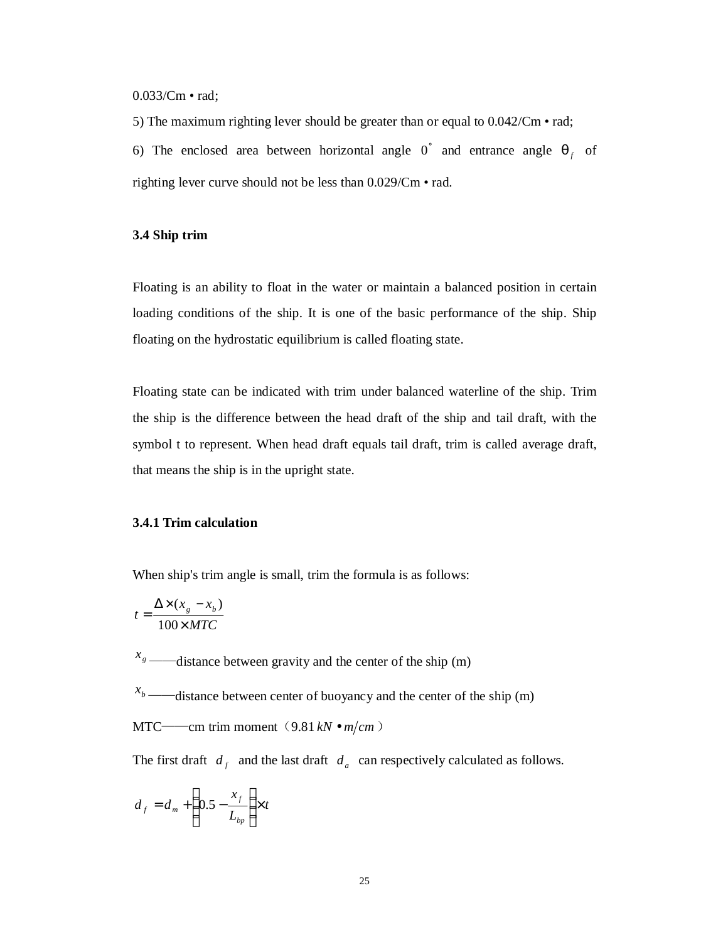0.033/Cm • rad;

5) The maximum righting lever should be greater than or equal to 0.042/Cm • rad; 6) The enclosed area between horizontal angle  $0^{\degree}$  and entrance angle  $q_f$  of righting lever curve should not be less than 0.029/Cm • rad.

## **3.4 Ship trim**

Floating is an ability to float in the water or maintain a balanced position in certain loading conditions of the ship. It is one of the basic performance of the ship. Ship floating on the hydrostatic equilibrium is called floating state.

Floating state can be indicated with trim under balanced waterline of the ship. Trim the ship is the difference between the head draft of the ship and tail draft, with the symbol t to represent. When head draft equals tail draft, trim is called average draft, that means the ship is in the upright state.

# **3.4.1 Trim calculation**

When ship's trim angle is small, trim the formula is as follows:

$$
t = \frac{\Delta \times (x_g - x_b)}{100 \times MTC}
$$

 $x_g$  ——distance between gravity and the center of the ship (m)

 $x<sub>b</sub>$  ——distance between center of buoyancy and the center of the ship (m)

MTC——cm trim moment (9.81  $kN \bullet m/cm$ )

The first draft  $d_f$  and the last draft  $d_a$  can respectively calculated as follows.

$$
d_f = d_m + \left(0.5 - \frac{x_f}{L_{bp}}\right) \times t
$$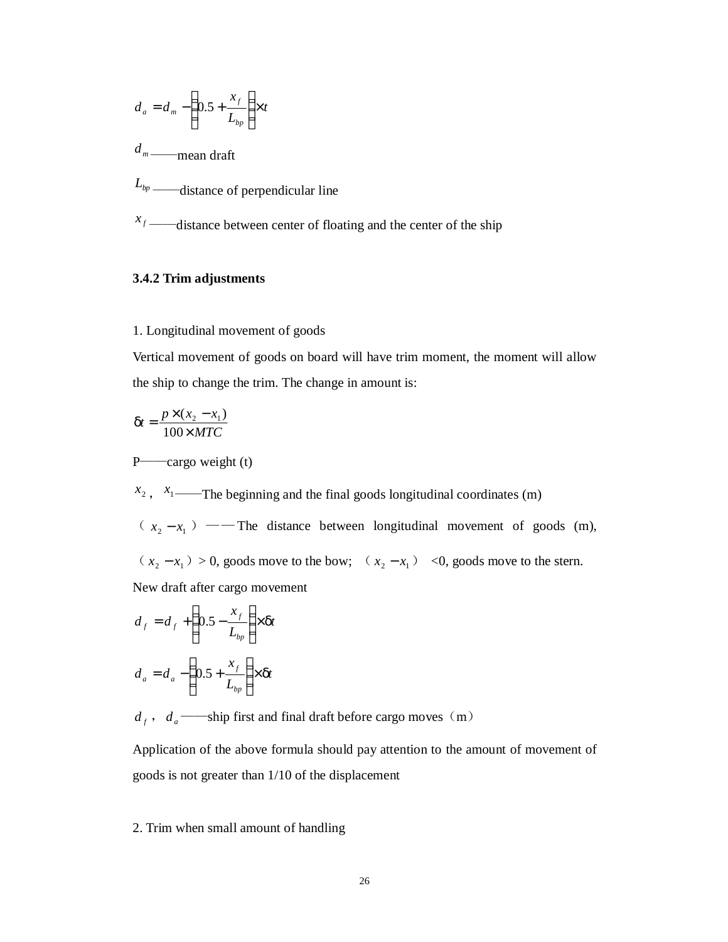$$
d_a = d_m - \left(0.5 + \frac{x_f}{L_{bp}}\right) \times t
$$
  

$$
d_m
$$
—mean draft  

$$
L_{bp}
$$
—distance of perpendicular line

 $f(x)$  ——distance between center of floating and the center of the ship

# **3.4.2 Trim adjustments**

1. Longitudinal movement of goods

Vertical movement of goods on board will have trim moment, the moment will allow the ship to change the trim. The change in amount is:

$$
dt = \frac{p \times (x_2 - x_1)}{100 \times MTC}
$$

P——cargo weight (t)

 $x_2$ ,  $x_1$ ——The beginning and the final goods longitudinal coordinates (m)

 $(x_2 - x_1)$  —— The distance between longitudinal movement of goods (m),

 $(x_2 - x_1) > 0$ , goods move to the bow;  $(x_2 - x_1) < 0$ , goods move to the stern.

New draft after cargo movement

$$
d_f = d_f + \left(0.5 - \frac{x_f}{L_{bp}}\right) \times dt
$$

$$
d_a = d_a - \left(0.5 + \frac{x_f}{L_{bp}}\right) \times dt
$$

 $d_f$ ,  $d_a$  ——ship first and final draft before cargo moves (m)

Application of the above formula should pay attention to the amount of movement of goods is not greater than 1/10 of the displacement

# 2. Trim when small amount of handling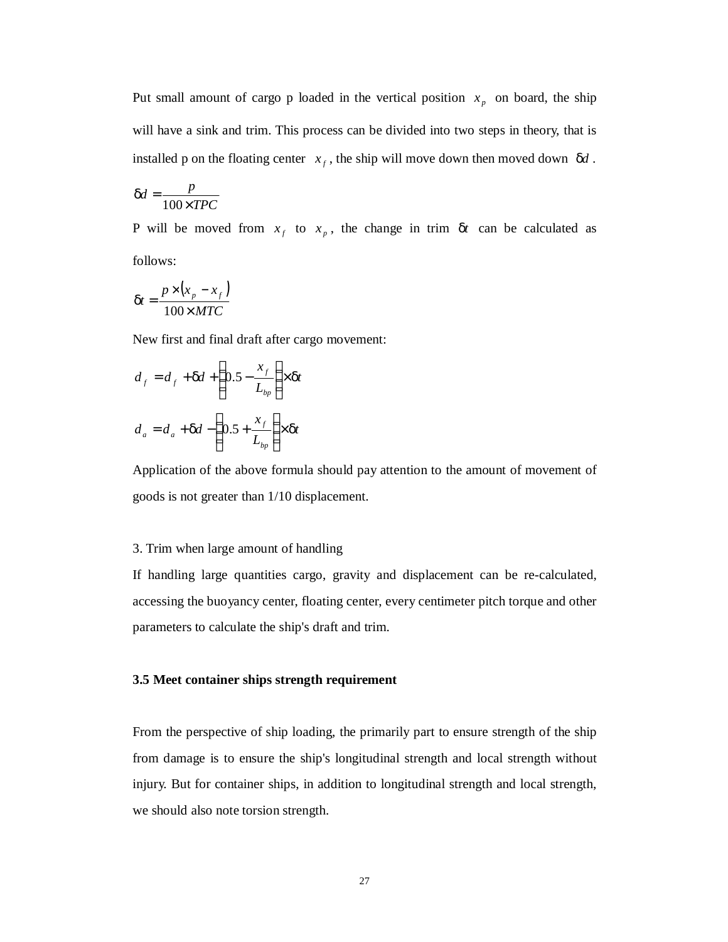Put small amount of cargo p loaded in the vertical position  $x_p$  on board, the ship will have a sink and trim. This process can be divided into two steps in theory, that is installed p on the floating center  $x_f$ , the ship will move down then moved down  $dd$ .

$$
dd = \frac{p}{100 \times TPC}
$$

P will be moved from  $x_f$  to  $x_p$ , the change in trim  $dt$  can be calculated as follows:

$$
dt = \frac{p \times (x_p - x_f)}{100 \times MTC}
$$

New first and final draft after cargo movement:

$$
d_f = d_f + \mathbf{d}d + \left(0.5 - \frac{x_f}{L_{bp}}\right) \times \mathbf{d}t
$$
  

$$
d_a = d_a + \mathbf{d}d - \left(0.5 + \frac{x_f}{L_{bp}}\right) \times \mathbf{d}t
$$

Application of the above formula should pay attention to the amount of movement of goods is not greater than 1/10 displacement.

## 3. Trim when large amount of handling

If handling large quantities cargo, gravity and displacement can be re-calculated, accessing the buoyancy center, floating center, every centimeter pitch torque and other parameters to calculate the ship's draft and trim.

# **3.5 Meet container ships strength requirement**

From the perspective of ship loading, the primarily part to ensure strength of the ship from damage is to ensure the ship's longitudinal strength and local strength without injury. But for container ships, in addition to longitudinal strength and local strength, we should also note torsion strength.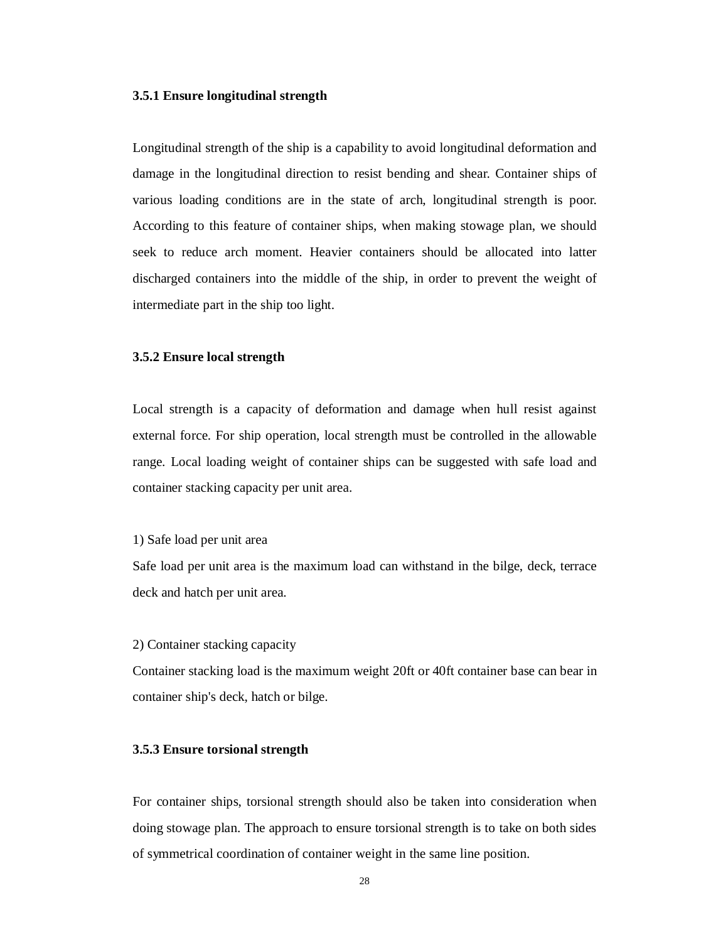## **3.5.1 Ensure longitudinal strength**

Longitudinal strength of the ship is a capability to avoid longitudinal deformation and damage in the longitudinal direction to resist bending and shear. Container ships of various loading conditions are in the state of arch, longitudinal strength is poor. According to this feature of container ships, when making stowage plan, we should seek to reduce arch moment. Heavier containers should be allocated into latter discharged containers into the middle of the ship, in order to prevent the weight of intermediate part in the ship too light.

#### **3.5.2 Ensure local strength**

Local strength is a capacity of deformation and damage when hull resist against external force. For ship operation, local strength must be controlled in the allowable range. Local loading weight of container ships can be suggested with safe load and container stacking capacity per unit area.

#### 1) Safe load per unit area

Safe load per unit area is the maximum load can withstand in the bilge, deck, terrace deck and hatch per unit area.

#### 2) Container stacking capacity

Container stacking load is the maximum weight 20ft or 40ft container base can bear in container ship's deck, hatch or bilge.

#### **3.5.3 Ensure torsional strength**

For container ships, torsional strength should also be taken into consideration when doing stowage plan. The approach to ensure torsional strength is to take on both sides of symmetrical coordination of container weight in the same line position.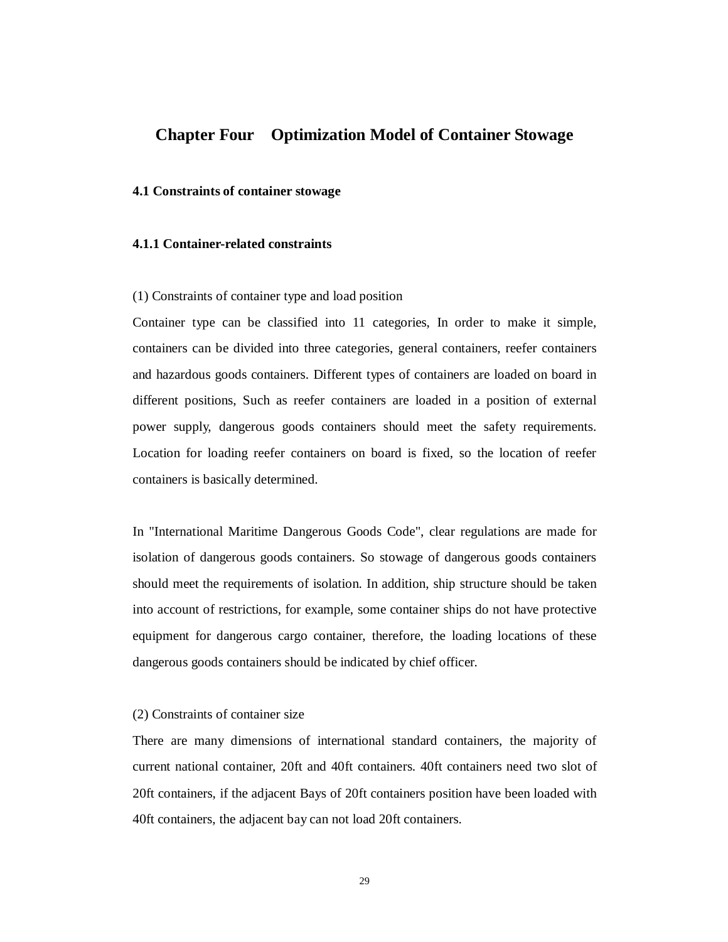# **Chapter Four Optimization Model of Container Stowage**

### **4.1 Constraints of container stowage**

# **4.1.1 Container-related constraints**

# (1) Constraints of container type and load position

Container type can be classified into 11 categories, In order to make it simple, containers can be divided into three categories, general containers, reefer containers and hazardous goods containers. Different types of containers are loaded on board in different positions, Such as reefer containers are loaded in a position of external power supply, dangerous goods containers should meet the safety requirements. Location for loading reefer containers on board is fixed, so the location of reefer containers is basically determined.

In "International Maritime Dangerous Goods Code", clear regulations are made for isolation of dangerous goods containers. So stowage of dangerous goods containers should meet the requirements of isolation. In addition, ship structure should be taken into account of restrictions, for example, some container ships do not have protective equipment for dangerous cargo container, therefore, the loading locations of these dangerous goods containers should be indicated by chief officer.

# (2) Constraints of container size

There are many dimensions of international standard containers, the majority of current national container, 20ft and 40ft containers. 40ft containers need two slot of 20ft containers, if the adjacent Bays of 20ft containers position have been loaded with 40ft containers, the adjacent bay can not load 20ft containers.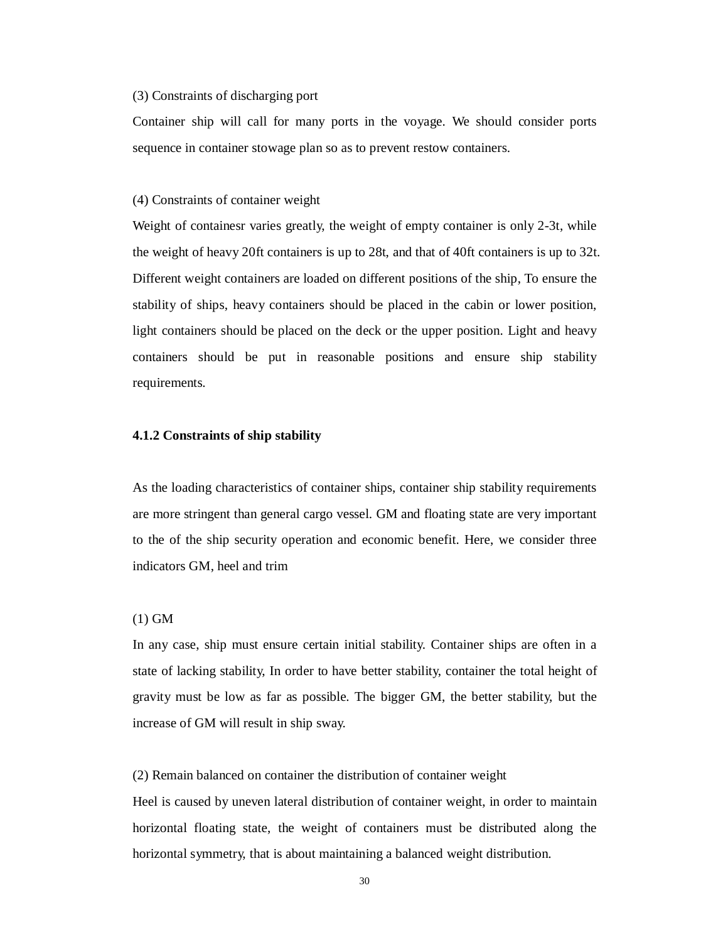#### (3) Constraints of discharging port

Container ship will call for many ports in the voyage. We should consider ports sequence in container stowage plan so as to prevent restow containers.

#### (4) Constraints of container weight

Weight of containesr varies greatly, the weight of empty container is only 2-3t, while the weight of heavy 20ft containers is up to 28t, and that of 40ft containers is up to 32t. Different weight containers are loaded on different positions of the ship, To ensure the stability of ships, heavy containers should be placed in the cabin or lower position, light containers should be placed on the deck or the upper position. Light and heavy containers should be put in reasonable positions and ensure ship stability requirements.

#### **4.1.2 Constraints of ship stability**

As the loading characteristics of container ships, container ship stability requirements are more stringent than general cargo vessel. GM and floating state are very important to the of the ship security operation and economic benefit. Here, we consider three indicators GM, heel and trim

# (1) GM

In any case, ship must ensure certain initial stability. Container ships are often in a state of lacking stability, In order to have better stability, container the total height of gravity must be low as far as possible. The bigger GM, the better stability, but the increase of GM will result in ship sway.

(2) Remain balanced on container the distribution of container weight

Heel is caused by uneven lateral distribution of container weight, in order to maintain horizontal floating state, the weight of containers must be distributed along the horizontal symmetry, that is about maintaining a balanced weight distribution.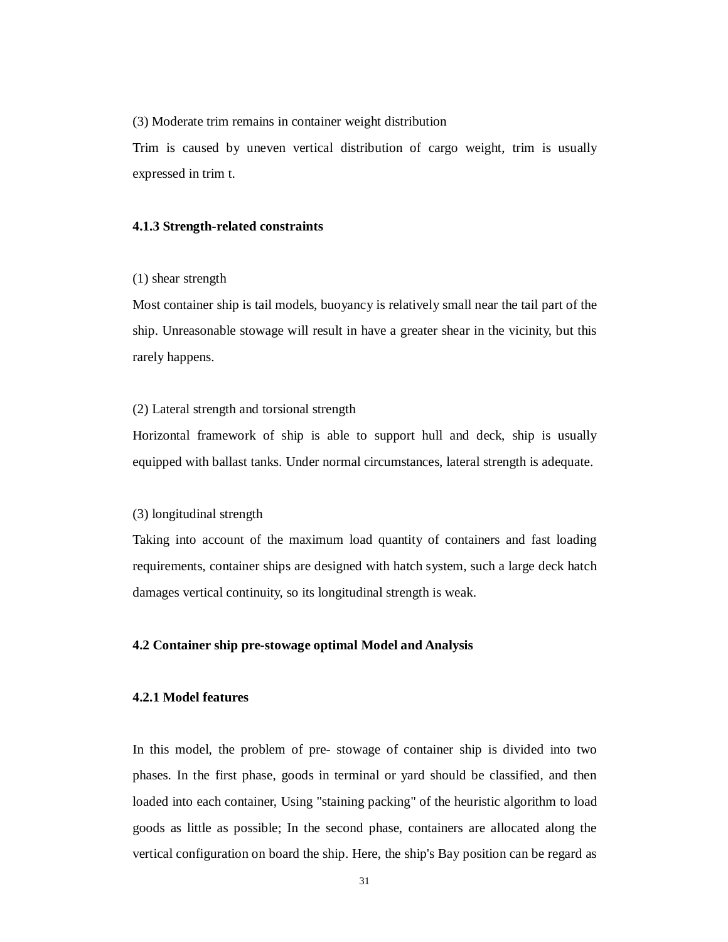(3) Moderate trim remains in container weight distribution

Trim is caused by uneven vertical distribution of cargo weight, trim is usually expressed in trim t.

## **4.1.3 Strength-related constraints**

#### (1) shear strength

Most container ship is tail models, buoyancy is relatively small near the tail part of the ship. Unreasonable stowage will result in have a greater shear in the vicinity, but this rarely happens.

# (2) Lateral strength and torsional strength

Horizontal framework of ship is able to support hull and deck, ship is usually equipped with ballast tanks. Under normal circumstances, lateral strength is adequate.

#### (3) longitudinal strength

Taking into account of the maximum load quantity of containers and fast loading requirements, container ships are designed with hatch system, such a large deck hatch damages vertical continuity, so its longitudinal strength is weak.

# **4.2 Container ship pre-stowage optimal Model and Analysis**

## **4.2.1 Model features**

In this model, the problem of pre- stowage of container ship is divided into two phases. In the first phase, goods in terminal or yard should be classified, and then loaded into each container, Using "staining packing" of the heuristic algorithm to load goods as little as possible; In the second phase, containers are allocated along the vertical configuration on board the ship. Here, the ship's Bay position can be regard as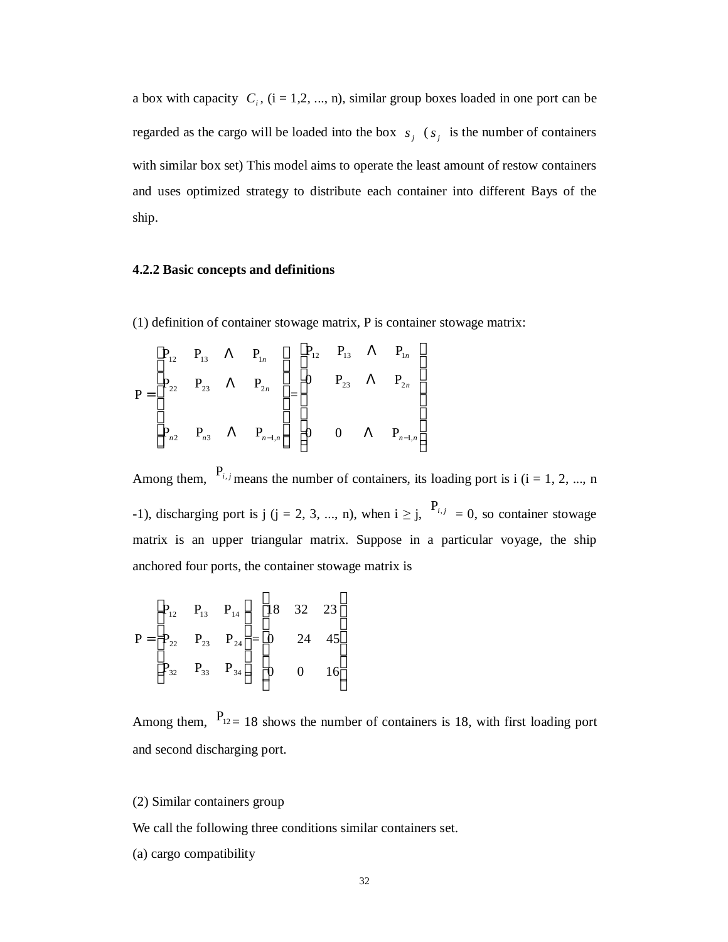a box with capacity  $C_i$ ,  $(i = 1, 2, ..., n)$ , similar group boxes loaded in one port can be regarded as the cargo will be loaded into the box  $s_j$  ( $s_j$  is the number of containers with similar box set) This model aims to operate the least amount of restow containers and uses optimized strategy to distribute each container into different Bays of the ship.

## **4.2.2 Basic concepts and definitions**

(1) definition of container stowage matrix, P is container stowage matrix:

$$
P = \begin{bmatrix} P_{12} & P_{13} & \Lambda & P_{1n} \\ P_{22} & P_{23} & \Lambda & P_{2n} \\ P_{n2} & P_{n3} & \Lambda & P_{n-1,n} \end{bmatrix} = \begin{bmatrix} P_{12} & P_{13} & \Lambda & P_{1n} \\ 0 & P_{23} & \Lambda & P_{2n} \\ 0 & 0 & \Lambda & P_{n-1,n} \end{bmatrix}
$$

Among them,  $P_{i,j}$  means the number of containers, its loading port is i (i = 1, 2, ..., n -1), discharging port is j (j = 2, 3, ..., n), when  $i \ge j$ ,  $P_{i,j} = 0$ , so container stowage matrix is an upper triangular matrix. Suppose in a particular voyage, the ship anchored four ports, the container stowage matrix is

$$
P = \begin{bmatrix} P_{12} & P_{13} & P_{14} \\ P_{22} & P_{23} & P_{24} \\ P_{32} & P_{33} & P_{34} \end{bmatrix} = \begin{bmatrix} 18 & 32 & 23 \\ 0 & 24 & 45 \\ 0 & 0 & 16 \end{bmatrix}
$$

Among them,  $P_{12} = 18$  shows the number of containers is 18, with first loading port and second discharging port.

# (2) Similar containers group

We call the following three conditions similar containers set.

(a) cargo compatibility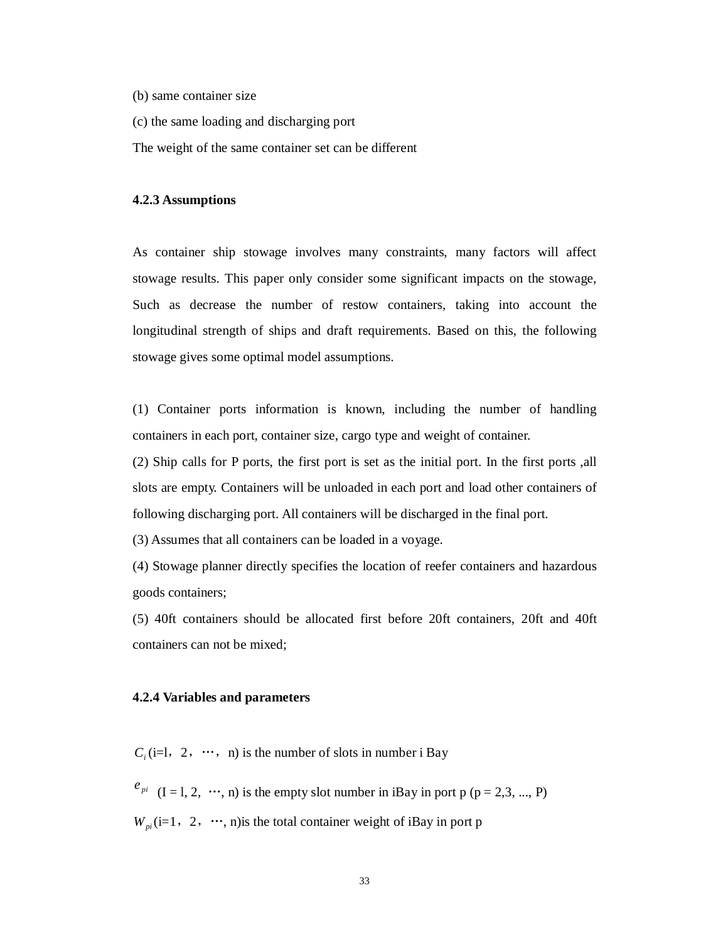- (b) same container size
- (c) the same loading and discharging port

The weight of the same container set can be different

## **4.2.3 Assumptions**

As container ship stowage involves many constraints, many factors will affect stowage results. This paper only consider some significant impacts on the stowage, Such as decrease the number of restow containers, taking into account the longitudinal strength of ships and draft requirements. Based on this, the following stowage gives some optimal model assumptions.

(1) Container ports information is known, including the number of handling containers in each port, container size, cargo type and weight of container.

(2) Ship calls for P ports, the first port is set as the initial port. In the first ports ,all slots are empty. Containers will be unloaded in each port and load other containers of following discharging port. All containers will be discharged in the final port.

(3) Assumes that all containers can be loaded in a voyage.

(4) Stowage planner directly specifies the location of reefer containers and hazardous goods containers;

(5) 40ft containers should be allocated first before 20ft containers, 20ft and 40ft containers can not be mixed;

## **4.2.4 Variables and parameters**

 $C_i$  (i=l, 2, …, n) is the number of slots in number i Bay

 $e_{pi}$  (I = 1, 2, …, n) is the empty slot number in iBay in port p (p = 2,3, …, P)

 $W_{pi}$ (i=1, 2, …, n) is the total container weight of iBay in port p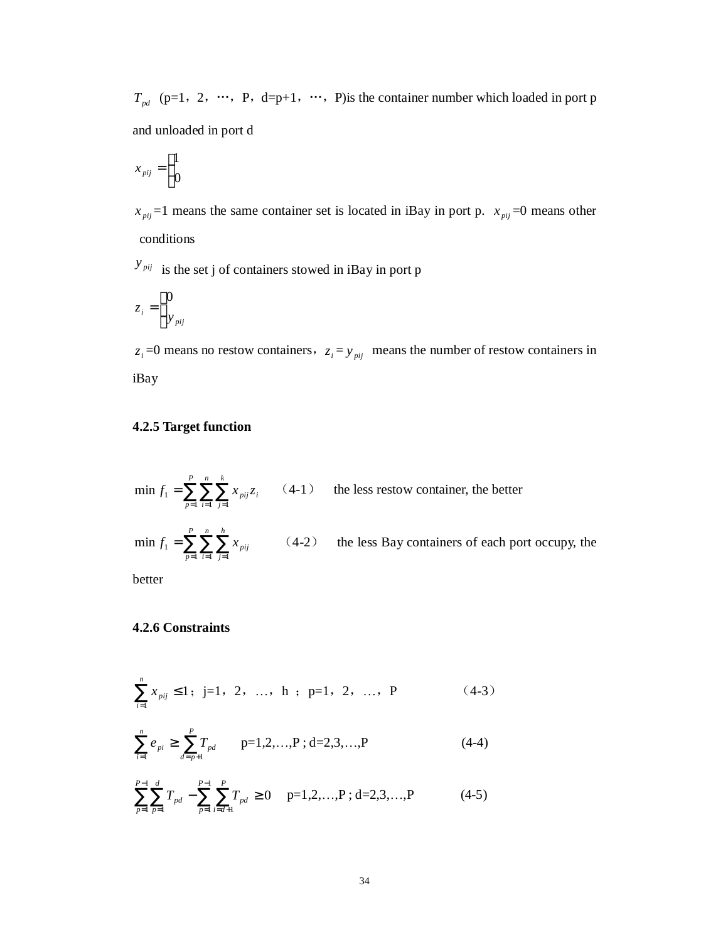$T_{pd}$  (p=1, 2, …, P, d=p+1, …, P) is the container number which loaded in port p and unloaded in port d

$$
x_{pi}=\begin{cases} 1\\0\end{cases}
$$

 $x_{pi}$  =1 means the same container set is located in iBay in port p.  $x_{pi}$  =0 means other conditions

 $y_{pij}$  is the set j of containers stowed in iBay in port p

$$
z_i = \begin{cases} 0 \\ y_{pij} \end{cases}
$$

 $z_i = 0$  means no restow containers,  $z_i = y_{pi}$  means the number of restow containers in iBay

# **4.2.5 Target function**

$$
\min f_1 = \sum_{p=1}^P \sum_{i=1}^n \sum_{j=1}^k x_{pi} z_i \qquad (4-1) \qquad \text{the less restow container, the better}
$$
\n
$$
\min f_1 = \sum_{p=1}^P \sum_{i=1}^n \sum_{j=1}^n x_{pi} \qquad (4-2) \qquad \text{the less Bay containers of each port occupy, the}
$$

better

# **4.2.6 Constraints**

$$
\sum_{i=1}^{n} x_{pij} \le 1; \quad j=1, 2, \dots, h \quad ; \quad p=1, 2, \dots, P \tag{4-3}
$$

$$
\sum_{i=1}^{n} e_{pi} \ge \sum_{d=p+1}^{p} T_{pd} \qquad p=1,2,...,P \; ; \; d=2,3,...,P \tag{4-4}
$$

$$
\sum_{p=1}^{P-1} \sum_{p=1}^{d} T_{pd} - \sum_{p=1}^{P-1} \sum_{i=d+1}^{P} T_{pd} \ge 0 \quad p=1,2,...,P \; ; \; d=2,3,...,P \tag{4-5}
$$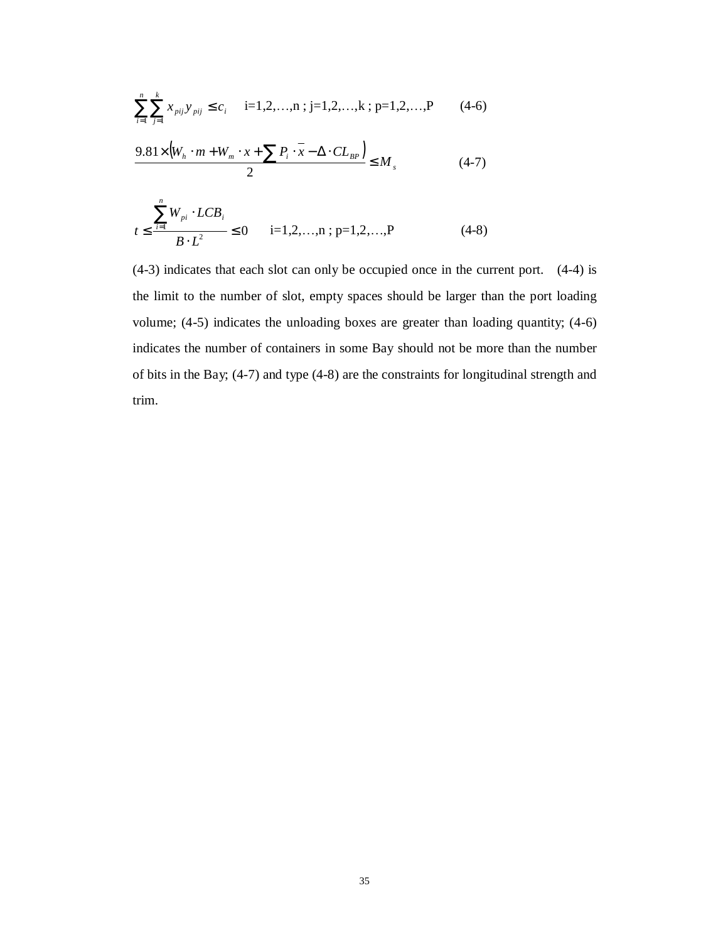$$
\sum_{i=1}^{n} \sum_{j=1}^{k} x_{pij} y_{pij} \le c_i \quad i=1,2,\ldots,n \; ; \; j=1,2,\ldots,k \; ; \; p=1,2,\ldots,P \qquad (4-6)
$$

$$
\frac{9.81 \times (W_h \cdot m + W_m \cdot x + \sum P_i \cdot \overline{x} - \Delta \cdot CL_{BP})}{2} \le M_s \tag{4-7}
$$

$$
t \le \frac{\sum_{i=1}^{n} W_{pi} \cdot LCB_i}{B \cdot L^2} \le 0 \qquad i=1,2,...,n \; ; \; p=1,2,...,P \tag{4-8}
$$

(4-3) indicates that each slot can only be occupied once in the current port. (4-4) is the limit to the number of slot, empty spaces should be larger than the port loading volume; (4-5) indicates the unloading boxes are greater than loading quantity; (4-6) indicates the number of containers in some Bay should not be more than the number of bits in the Bay; (4-7) and type (4-8) are the constraints for longitudinal strength and trim.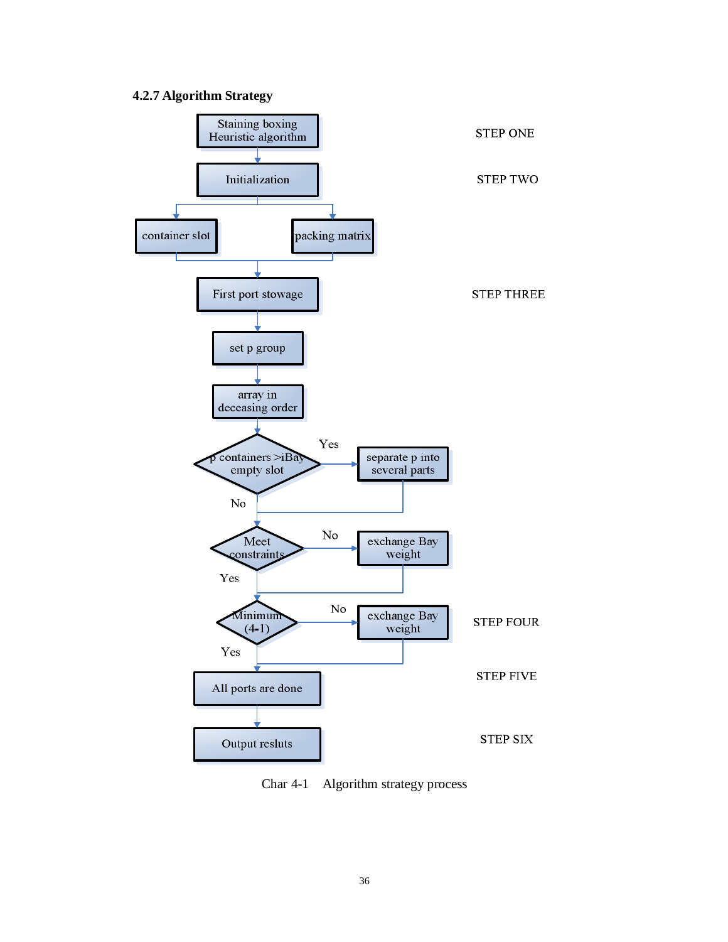# **4.2.7 Algorithm Strategy**



Char 4-1 Algorithm strategy process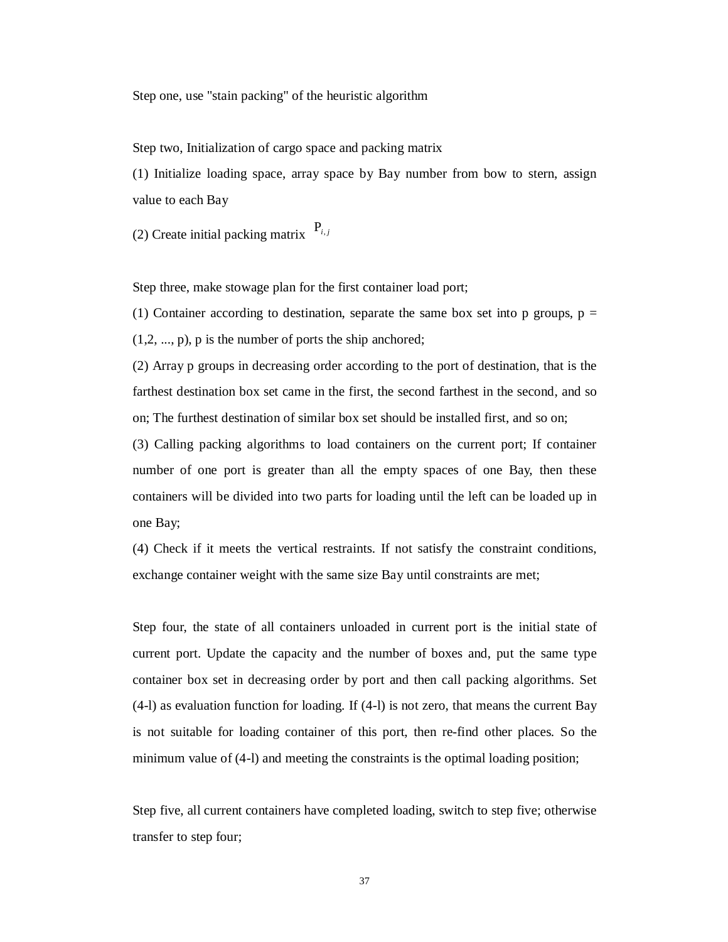Step one, use "stain packing" of the heuristic algorithm

Step two, Initialization of cargo space and packing matrix

(1) Initialize loading space, array space by Bay number from bow to stern, assign value to each Bay

(2) Create initial packing matrix  $P_{i,j}$ 

Step three, make stowage plan for the first container load port;

(1) Container according to destination, separate the same box set into p groups,  $p =$  $(1,2, \ldots, p)$ , p is the number of ports the ship anchored;

(2) Array p groups in decreasing order according to the port of destination, that is the farthest destination box set came in the first, the second farthest in the second, and so on; The furthest destination of similar box set should be installed first, and so on;

(3) Calling packing algorithms to load containers on the current port; If container number of one port is greater than all the empty spaces of one Bay, then these containers will be divided into two parts for loading until the left can be loaded up in one Bay;

(4) Check if it meets the vertical restraints. If not satisfy the constraint conditions, exchange container weight with the same size Bay until constraints are met;

Step four, the state of all containers unloaded in current port is the initial state of current port. Update the capacity and the number of boxes and, put the same type container box set in decreasing order by port and then call packing algorithms. Set (4-l) as evaluation function for loading. If (4-l) is not zero, that means the current Bay is not suitable for loading container of this port, then re-find other places. So the minimum value of (4-l) and meeting the constraints is the optimal loading position;

Step five, all current containers have completed loading, switch to step five; otherwise transfer to step four;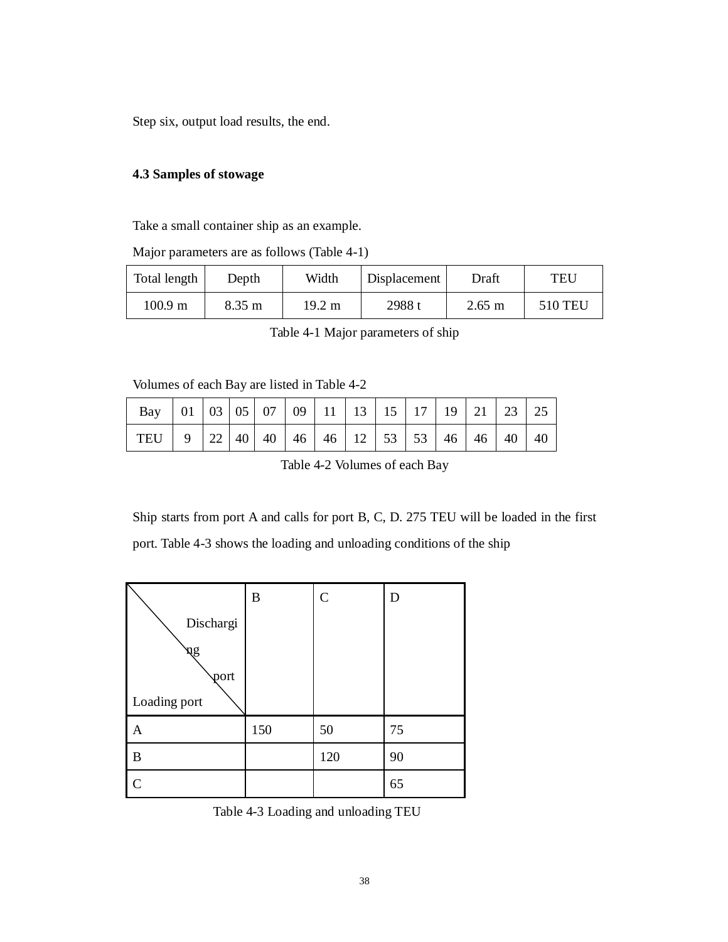Step six, output load results, the end.

# **4.3 Samples of stowage**

Take a small container ship as an example.

Major parameters are as follows (Table 4-1)

| Total length | Depth                | Width            | Displacement | Draft                | TEU            |
|--------------|----------------------|------------------|--------------|----------------------|----------------|
| 100.9 m      | $8.35 \; \mathrm{m}$ | $19.2 \;{\rm m}$ | 2988 t       | $2.65 \; \mathrm{m}$ | <b>510 TEU</b> |

|  |  | Table 4-1 Major parameters of ship |  |
|--|--|------------------------------------|--|
|--|--|------------------------------------|--|

Volumes of each Bay are listed in Table 4-2

Table 4-2 Volumes of each Bay

Ship starts from port A and calls for port B, C, D. 275 TEU will be loaded in the first port. Table 4-3 shows the loading and unloading conditions of the ship



Table 4-3 Loading and unloading TEU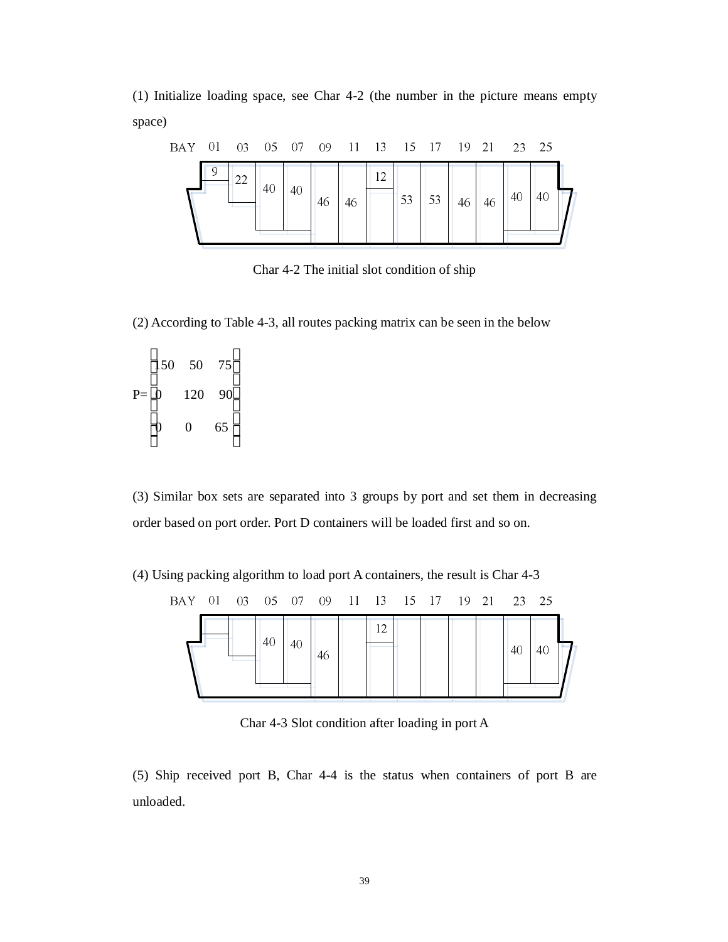(1) Initialize loading space, see Char 4-2 (the number in the picture means empty space)



Char 4-2 The initial slot condition of ship

(2) According to Table 4-3, all routes packing matrix can be seen in the below

|      | 150 | 50  | 75 |  |
|------|-----|-----|----|--|
| $P=$ | 0   | 120 | 90 |  |
|      | 0   | 0   | 65 |  |

(3) Similar box sets are separated into 3 groups by port and set them in decreasing order based on port order. Port D containers will be loaded first and so on.

(4) Using packing algorithm to load port A containers, the result is Char 4-3



Char 4-3 Slot condition after loading in port A

(5) Ship received port B, Char 4-4 is the status when containers of port B are unloaded.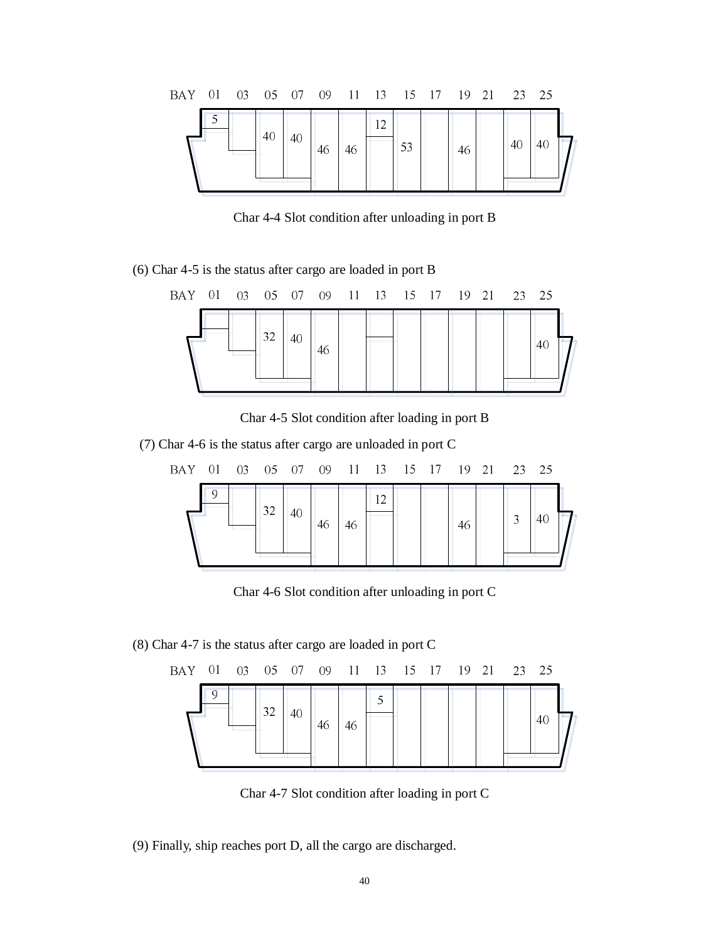

Char 4-4 Slot condition after unloading in port B

(6) Char 4-5 is the status after cargo are loaded in port B



Char 4-5 Slot condition after loading in port B

(7) Char 4-6 is the status after cargo are unloaded in port C



Char 4-6 Slot condition after unloading in port C

(8) Char 4-7 is the status after cargo are loaded in port C



Char 4-7 Slot condition after loading in port C

(9) Finally, ship reaches port D, all the cargo are discharged.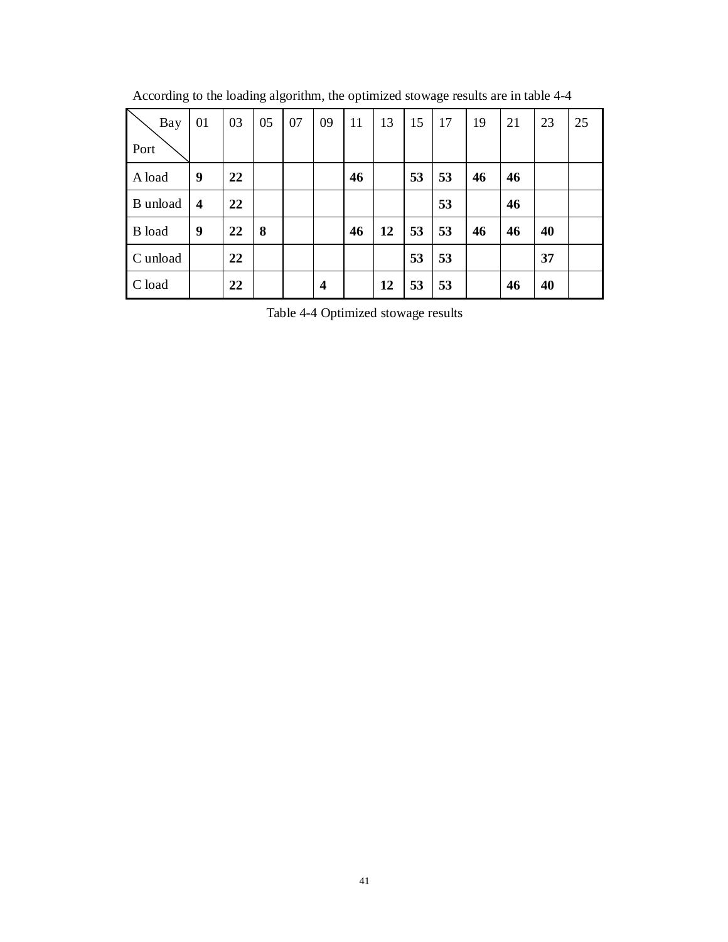| Bay           | 01                      | 03 | 05 | 07 | 09                      | 11 | 13 | 15 | 17 | 19 | 21 | 23 | 25 |
|---------------|-------------------------|----|----|----|-------------------------|----|----|----|----|----|----|----|----|
| Port          |                         |    |    |    |                         |    |    |    |    |    |    |    |    |
| A load        | 9                       | 22 |    |    |                         | 46 |    | 53 | 53 | 46 | 46 |    |    |
| B unload      | $\overline{\mathbf{4}}$ | 22 |    |    |                         |    |    |    | 53 |    | 46 |    |    |
| <b>B</b> load | 9                       | 22 | 8  |    |                         | 46 | 12 | 53 | 53 | 46 | 46 | 40 |    |
| C unload      |                         | 22 |    |    |                         |    |    | 53 | 53 |    |    | 37 |    |
| C load        |                         | 22 |    |    | $\overline{\mathbf{4}}$ |    | 12 | 53 | 53 |    | 46 | 40 |    |

According to the loading algorithm, the optimized stowage results are in table 4-4

Table 4-4 Optimized stowage results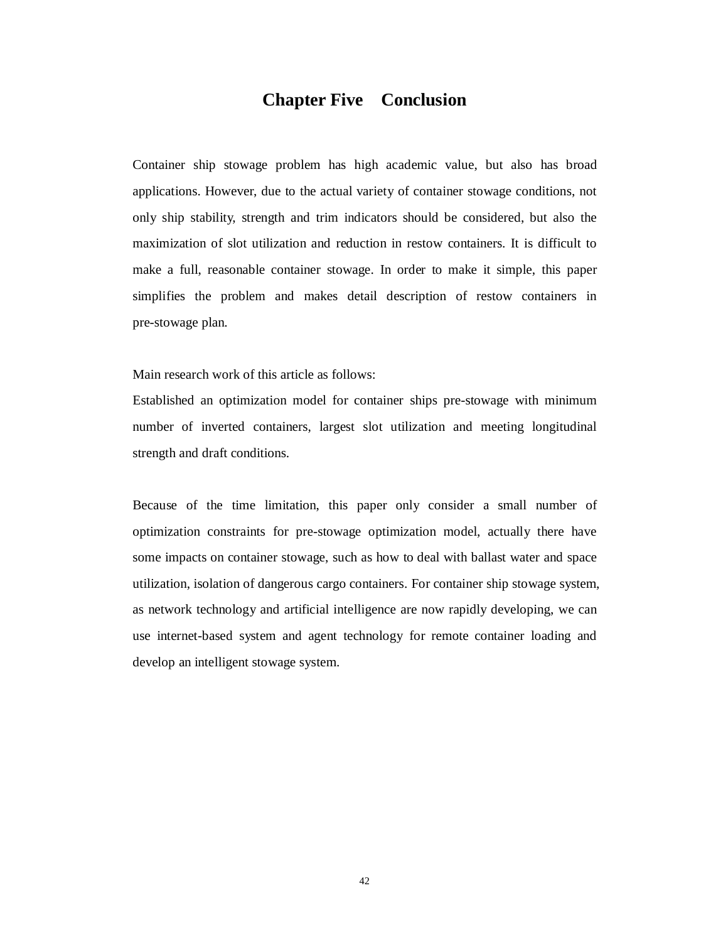# **Chapter Five Conclusion**

Container ship stowage problem has high academic value, but also has broad applications. However, due to the actual variety of container stowage conditions, not only ship stability, strength and trim indicators should be considered, but also the maximization of slot utilization and reduction in restow containers. It is difficult to make a full, reasonable container stowage. In order to make it simple, this paper simplifies the problem and makes detail description of restow containers in pre-stowage plan.

Main research work of this article as follows:

Established an optimization model for container ships pre-stowage with minimum number of inverted containers, largest slot utilization and meeting longitudinal strength and draft conditions.

Because of the time limitation, this paper only consider a small number of optimization constraints for pre-stowage optimization model, actually there have some impacts on container stowage, such as how to deal with ballast water and space utilization, isolation of dangerous cargo containers. For container ship stowage system, as network technology and artificial intelligence are now rapidly developing, we can use internet-based system and agent technology for remote container loading and develop an intelligent stowage system.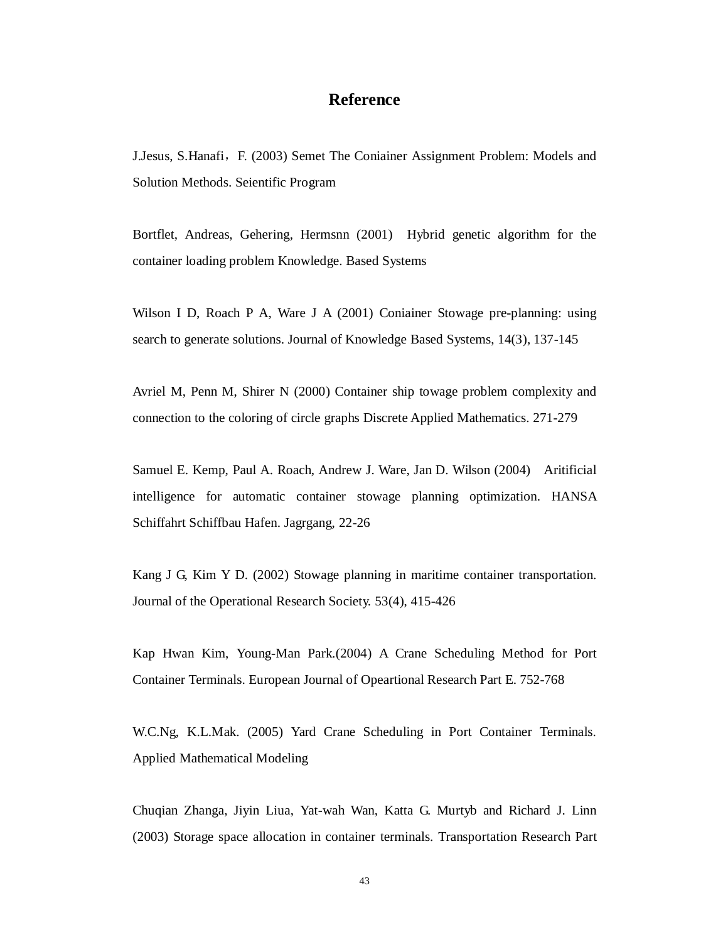# **Reference**

J.Jesus, S.Hanafi, F. (2003) Semet The Coniainer Assignment Problem: Models and Solution Methods. Seientific Program

Bortflet, Andreas, Gehering, Hermsnn (2001) Hybrid genetic algorithm for the container loading problem Knowledge. Based Systems

Wilson I D, Roach P A, Ware J A (2001) Coniainer Stowage pre-planning: using search to generate solutions. Journal of Knowledge Based Systems, 14(3), 137-145

Avriel M, Penn M, Shirer N (2000) Container ship towage problem complexity and connection to the coloring of circle graphs Discrete Applied Mathematics. 271-279

Samuel E. Kemp, Paul A. Roach, Andrew J. Ware, Jan D. Wilson (2004) Aritificial intelligence for automatic container stowage planning optimization. HANSA Schiffahrt Schiffbau Hafen. Jagrgang, 22-26

Kang J G, Kim Y D. (2002) Stowage planning in maritime container transportation. Journal of the Operational Research Society. 53(4), 415-426

Kap Hwan Kim, Young-Man Park.(2004) A Crane Scheduling Method for Port Container Terminals. European Journal of Opeartional Research Part E. 752-768

W.C.Ng, K.L.Mak. (2005) Yard Crane Scheduling in Port Container Terminals. Applied Mathematical Modeling

Chuqian Zhanga, Jiyin Liua, Yat-wah Wan, Katta G. Murtyb and Richard J. Linn (2003) Storage space allocation in container terminals. Transportation Research Part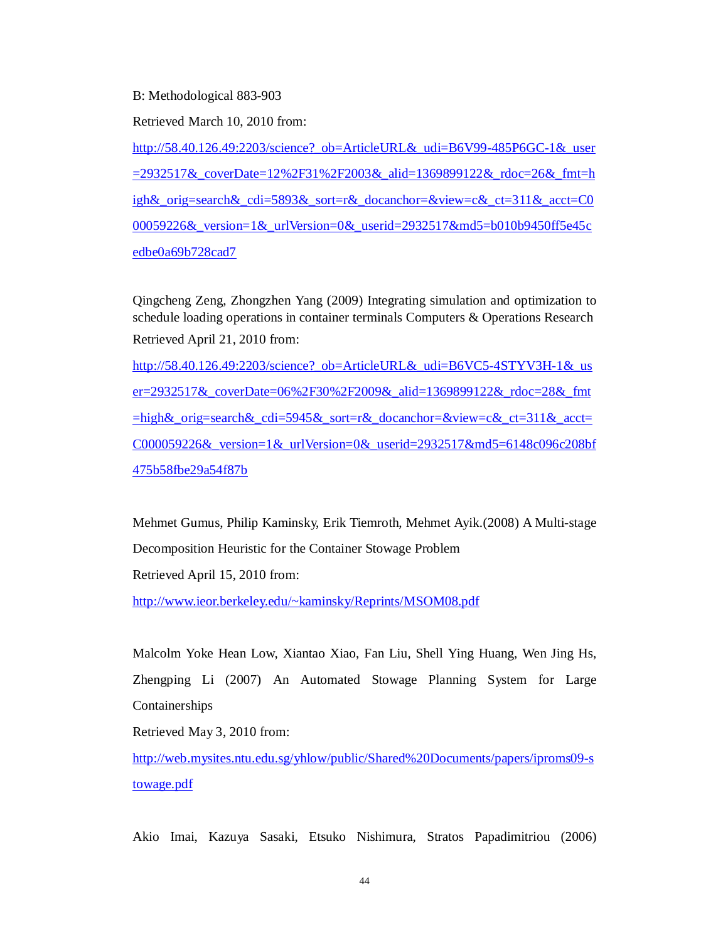B: Methodological 883-903

Retrieved March 10, 2010 from:

http://58.40.126.49:2203/science? ob=ArticleURL&\_udi=B6V99-485P6GC-1&\_user  $=2932517\&$  coverDate=12%2F31%2F2003&\_alid=1369899122&\_rdoc=26&\_fmt=h igh&\_orig=search&\_cdi=5893&\_sort=r&\_docanchor=&view=c&\_ct=311&\_acct=C0  $0.00059226\&\text{version}=1\&\text{urlVersion}=0\&\text{userid}=2932517\&\text{md5}=b010b9450\text{ff}5e45c$ edbe0a69b728cad7

Qingcheng Zeng, Zhongzhen Yang (2009) Integrating simulation and optimization to schedule loading operations in container terminals Computers & Operations Research Retrieved April 21, 2010 from:

[http://58.40.126.49:2203/science?\\_ob=ArticleURL&\\_udi=B6VC5-4STYV3H-1&\\_us](http://58.40.126.49:2203/science?_ob=ArticleURL&_udi=B6VC5-4STYV3H-1&_us) er=2932517&\_coverDate=06%2F30%2F2009&\_alid=1369899122&\_rdoc=28&\_fmt  $\equiv$ high& orig=search& cdi=5945& sort=r& docanchor=&view=c& ct=311& acct= C000059226&\_version=1&\_urlVersion=0&\_userid=2932517&md5=6148c096c208bf 475b58fbe29a54f87b

Mehmet Gumus, Philip Kaminsky, Erik Tiemroth, Mehmet Ayik.(2008) A Multi-stage Decomposition Heuristic for the Container Stowage Problem Retrieved April 15, 2010 from:

<http://www.ieor.berkeley.edu/~kaminsky/Reprints/MSOM08.pdf>

Malcolm Yoke Hean Low, Xiantao Xiao, Fan Liu, Shell Ying Huang, Wen Jing Hs, Zhengping Li (2007) An Automated Stowage Planning System for Large Containerships

Retrieved May 3, 2010 from:

<http://web.mysites.ntu.edu.sg/yhlow/public/Shared%20Documents/papers/iproms09-s> towage.pdf

Akio Imai, Kazuya Sasaki, Etsuko Nishimura, Stratos Papadimitriou (2006)